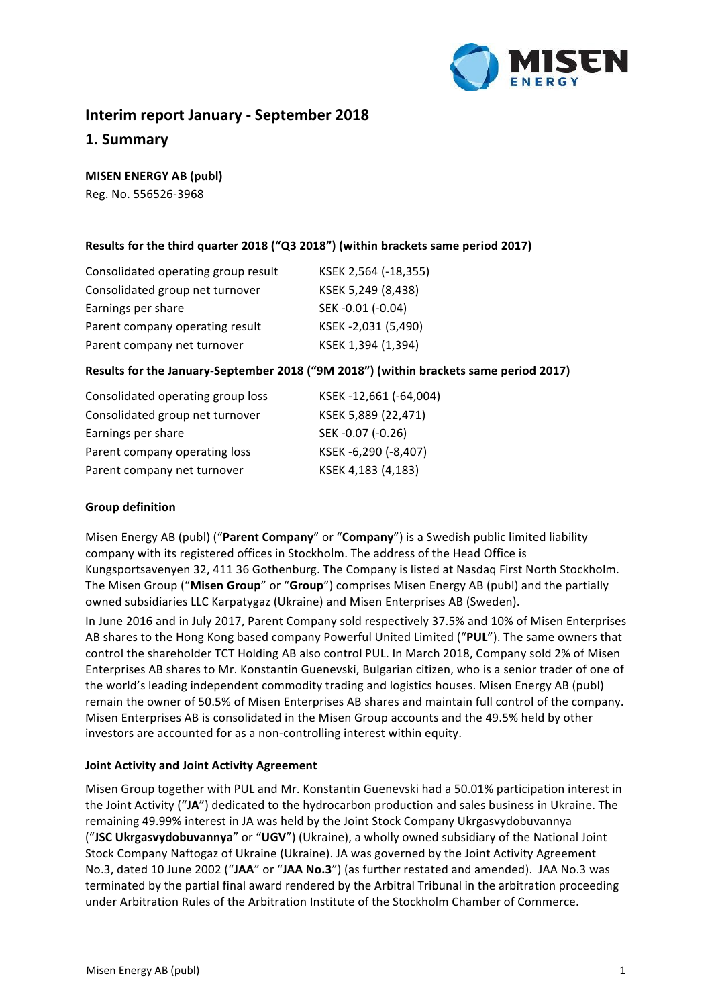

# **Interim report January - September 2018**

# **1. Summary**

# **MISEN ENERGY AB (publ)**

Reg. No. 556526-3968

# Results for the third quarter 2018 ("Q3 2018") (within brackets same period 2017)

| Consolidated operating group result | KSEK 2,564 (-18,355) |
|-------------------------------------|----------------------|
| Consolidated group net turnover     | KSEK 5,249 (8,438)   |
| Earnings per share                  | SEK-0.01 (-0.04)     |
| Parent company operating result     | KSEK-2,031 (5,490)   |
| Parent company net turnover         | KSEK 1,394 (1,394)   |

# **Results for the January-September 2018 ("9M 2018") (within brackets same period 2017)**

| Consolidated operating group loss | KSEK-12,661 (-64,004) |
|-----------------------------------|-----------------------|
| Consolidated group net turnover   | KSEK 5,889 (22,471)   |
| Earnings per share                | SEK-0.07 (-0.26)      |
| Parent company operating loss     | KSEK-6,290 (-8,407)   |
| Parent company net turnover       | KSEK 4,183 (4,183)    |

# **Group definition**

Misen Energy AB (publ) ("Parent Company" or "Company") is a Swedish public limited liability company with its registered offices in Stockholm. The address of the Head Office is Kungsportsavenyen 32, 411 36 Gothenburg. The Company is listed at Nasdaq First North Stockholm. The Misen Group ("Misen Group" or "Group") comprises Misen Energy AB (publ) and the partially owned subsidiaries LLC Karpatygaz (Ukraine) and Misen Enterprises AB (Sweden).

In June 2016 and in July 2017, Parent Company sold respectively 37.5% and 10% of Misen Enterprises AB shares to the Hong Kong based company Powerful United Limited ("PUL"). The same owners that control the shareholder TCT Holding AB also control PUL. In March 2018, Company sold 2% of Misen Enterprises AB shares to Mr. Konstantin Guenevski, Bulgarian citizen, who is a senior trader of one of the world's leading independent commodity trading and logistics houses. Misen Energy AB (publ) remain the owner of 50.5% of Misen Enterprises AB shares and maintain full control of the company. Misen Enterprises AB is consolidated in the Misen Group accounts and the 49.5% held by other investors are accounted for as a non-controlling interest within equity.

# **Joint Activity and Joint Activity Agreement**

Misen Group together with PUL and Mr. Konstantin Guenevski had a 50.01% participation interest in the Joint Activity ("JA") dedicated to the hydrocarbon production and sales business in Ukraine. The remaining 49.99% interest in JA was held by the Joint Stock Company Ukrgasvydobuvannya ("JSC Ukrgasvydobuvannya" or "UGV") (Ukraine), a wholly owned subsidiary of the National Joint Stock Company Naftogaz of Ukraine (Ukraine). JA was governed by the Joint Activity Agreement No.3, dated 10 June 2002 ("JAA" or "JAA No.3") (as further restated and amended). JAA No.3 was terminated by the partial final award rendered by the Arbitral Tribunal in the arbitration proceeding under Arbitration Rules of the Arbitration Institute of the Stockholm Chamber of Commerce.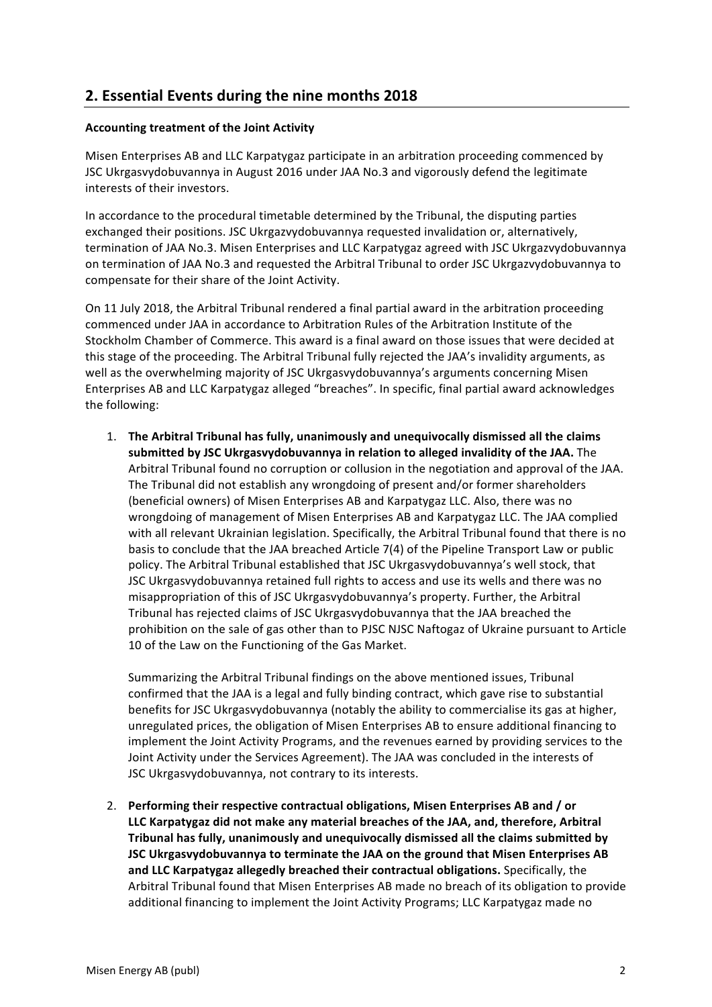# **2. Essential Events during the nine months 2018**

# **Accounting treatment of the Joint Activity**

Misen Enterprises AB and LLC Karpatygaz participate in an arbitration proceeding commenced by JSC Ukrgasvydobuvannya in August 2016 under JAA No.3 and vigorously defend the legitimate interests of their investors.

In accordance to the procedural timetable determined by the Tribunal, the disputing parties exchanged their positions. JSC Ukrgazvydobuvannya requested invalidation or, alternatively, termination of JAA No.3. Misen Enterprises and LLC Karpatygaz agreed with JSC Ukrgazvydobuvannya on termination of JAA No.3 and requested the Arbitral Tribunal to order JSC Ukrgazvydobuvannya to compensate for their share of the Joint Activity.

On 11 July 2018, the Arbitral Tribunal rendered a final partial award in the arbitration proceeding commenced under JAA in accordance to Arbitration Rules of the Arbitration Institute of the Stockholm Chamber of Commerce. This award is a final award on those issues that were decided at this stage of the proceeding. The Arbitral Tribunal fully rejected the JAA's invalidity arguments, as well as the overwhelming majority of JSC Ukrgasvydobuvannya's arguments concerning Misen Enterprises AB and LLC Karpatygaz alleged "breaches". In specific, final partial award acknowledges the following:

1. The Arbitral Tribunal has fully, unanimously and unequivocally dismissed all the claims submitted by JSC Ukrgasyydobuvannya in relation to alleged invalidity of the JAA. The Arbitral Tribunal found no corruption or collusion in the negotiation and approval of the JAA. The Tribunal did not establish any wrongdoing of present and/or former shareholders (beneficial owners) of Misen Enterprises AB and Karpatygaz LLC. Also, there was no wrongdoing of management of Misen Enterprises AB and Karpatygaz LLC. The JAA complied with all relevant Ukrainian legislation. Specifically, the Arbitral Tribunal found that there is no basis to conclude that the JAA breached Article 7(4) of the Pipeline Transport Law or public policy. The Arbitral Tribunal established that JSC Ukrgasvydobuvannya's well stock, that JSC Ukrgasvydobuvannya retained full rights to access and use its wells and there was no misappropriation of this of JSC Ukrgasvydobuvannya's property. Further, the Arbitral Tribunal has rejected claims of JSC Ukrgasvydobuvannya that the JAA breached the prohibition on the sale of gas other than to PJSC NJSC Naftogaz of Ukraine pursuant to Article 10 of the Law on the Functioning of the Gas Market.

Summarizing the Arbitral Tribunal findings on the above mentioned issues. Tribunal confirmed that the JAA is a legal and fully binding contract, which gave rise to substantial benefits for JSC Ukrgasvydobuvannya (notably the ability to commercialise its gas at higher, unregulated prices, the obligation of Misen Enterprises AB to ensure additional financing to implement the Joint Activity Programs, and the revenues earned by providing services to the Joint Activity under the Services Agreement). The JAA was concluded in the interests of JSC Ukrgasvydobuvannya, not contrary to its interests.

2. Performing their respective contractual obligations. Misen Enterprises AB and / or LLC Karpatygaz did not make any material breaches of the JAA, and, therefore, Arbitral **Tribunal has fully, unanimously and unequivocally dismissed all the claims submitted by JSC Ukrgasvydobuvannya to terminate the JAA on the ground that Misen Enterprises AB** and LLC Karpatygaz allegedly breached their contractual obligations. Specifically, the Arbitral Tribunal found that Misen Enterprises AB made no breach of its obligation to provide additional financing to implement the Joint Activity Programs; LLC Karpatygaz made no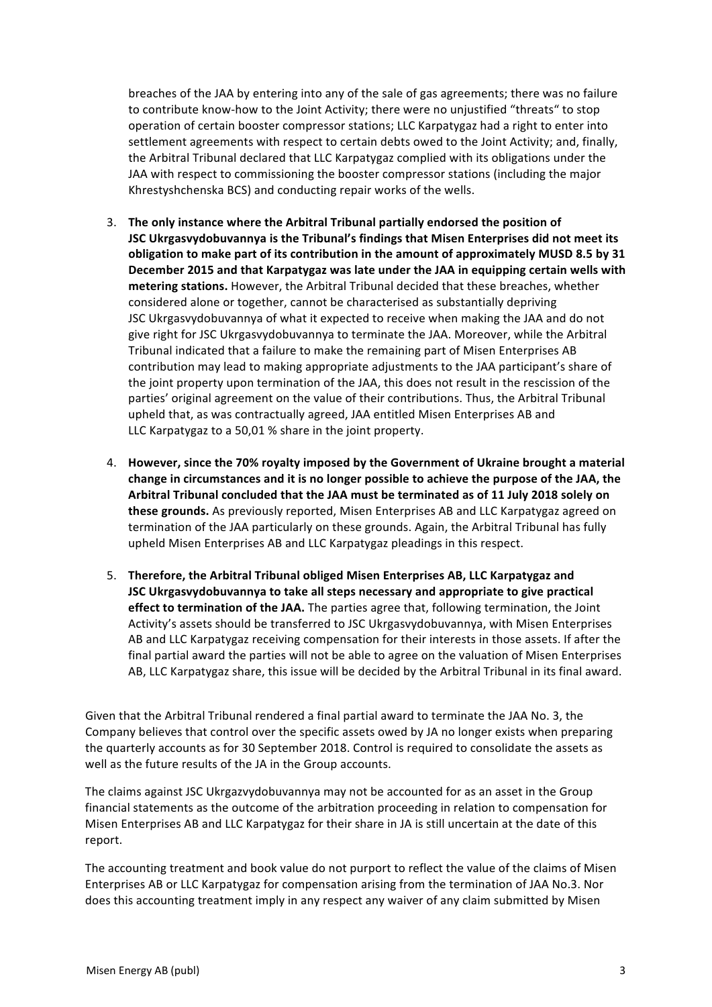breaches of the JAA by entering into any of the sale of gas agreements; there was no failure to contribute know-how to the Joint Activity; there were no unjustified "threats" to stop operation of certain booster compressor stations; LLC Karpatygaz had a right to enter into settlement agreements with respect to certain debts owed to the Joint Activity; and, finally, the Arbitral Tribunal declared that LLC Karpatygaz complied with its obligations under the JAA with respect to commissioning the booster compressor stations (including the major Khrestyshchenska BCS) and conducting repair works of the wells.

- 3. The only instance where the Arbitral Tribunal partially endorsed the position of **JSC Ukrgasvydobuvannya is the Tribunal's findings that Misen Enterprises did not meet its** obligation to make part of its contribution in the amount of approximately MUSD 8.5 by 31 December 2015 and that Karpatygaz was late under the JAA in equipping certain wells with metering stations. However, the Arbitral Tribunal decided that these breaches, whether considered alone or together, cannot be characterised as substantially depriving JSC Ukrgasvydobuvannya of what it expected to receive when making the JAA and do not give right for JSC Ukrgasvydobuvannya to terminate the JAA. Moreover, while the Arbitral Tribunal indicated that a failure to make the remaining part of Misen Enterprises AB contribution may lead to making appropriate adjustments to the JAA participant's share of the joint property upon termination of the JAA, this does not result in the rescission of the parties' original agreement on the value of their contributions. Thus, the Arbitral Tribunal upheld that, as was contractually agreed, JAA entitled Misen Enterprises AB and LLC Karpatygaz to a 50,01 % share in the joint property.
- 4. However, since the 70% royalty imposed by the Government of Ukraine brought a material change in circumstances and it is no longer possible to achieve the purpose of the JAA, the Arbitral Tribunal concluded that the JAA must be terminated as of 11 July 2018 solely on **these grounds.** As previously reported, Misen Enterprises AB and LLC Karpatygaz agreed on termination of the JAA particularly on these grounds. Again, the Arbitral Tribunal has fully upheld Misen Enterprises AB and LLC Karpatygaz pleadings in this respect.
- 5. Therefore, the Arbitral Tribunal obliged Misen Enterprises AB, LLC Karpatygaz and **JSC** Ukrgasvydobuvannya to take all steps necessary and appropriate to give practical **effect to termination of the JAA.** The parties agree that, following termination, the Joint Activity's assets should be transferred to JSC Ukrgasvydobuvannya, with Misen Enterprises AB and LLC Karpatygaz receiving compensation for their interests in those assets. If after the final partial award the parties will not be able to agree on the valuation of Misen Enterprises AB, LLC Karpatygaz share, this issue will be decided by the Arbitral Tribunal in its final award.

Given that the Arbitral Tribunal rendered a final partial award to terminate the JAA No. 3, the Company believes that control over the specific assets owed by JA no longer exists when preparing the quarterly accounts as for 30 September 2018. Control is required to consolidate the assets as well as the future results of the JA in the Group accounts.

The claims against JSC Ukrgazvydobuvannya may not be accounted for as an asset in the Group financial statements as the outcome of the arbitration proceeding in relation to compensation for Misen Enterprises AB and LLC Karpatygaz for their share in JA is still uncertain at the date of this report.

The accounting treatment and book value do not purport to reflect the value of the claims of Misen Enterprises AB or LLC Karpatygaz for compensation arising from the termination of JAA No.3. Nor does this accounting treatment imply in any respect any waiver of any claim submitted by Misen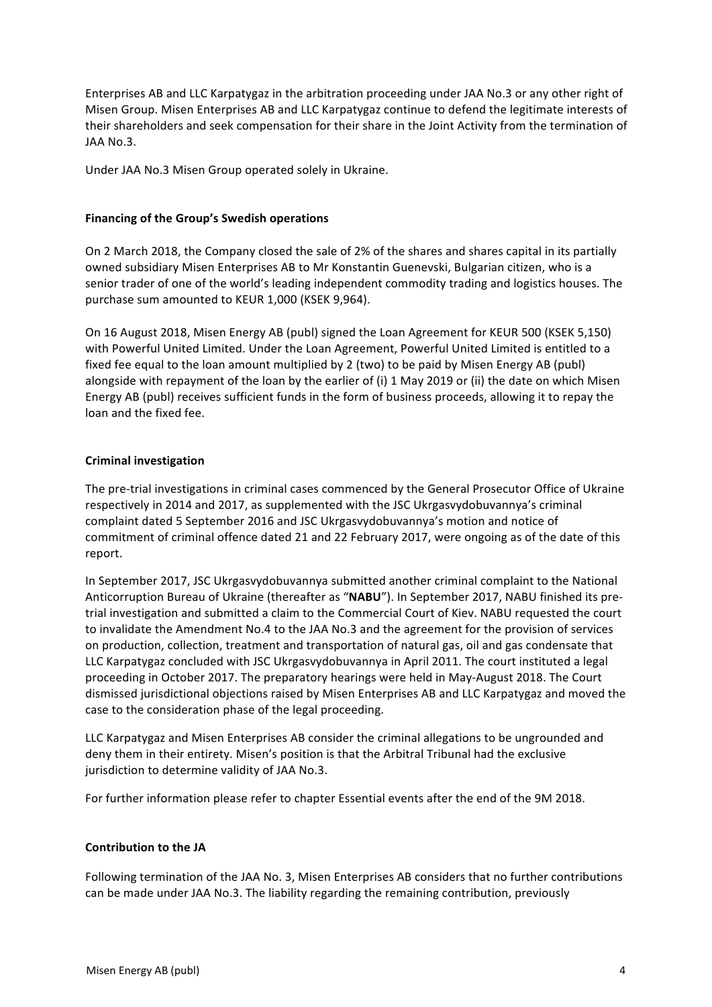Enterprises AB and LLC Karpatygaz in the arbitration proceeding under JAA No.3 or any other right of Misen Group. Misen Enterprises AB and LLC Karpatygaz continue to defend the legitimate interests of their shareholders and seek compensation for their share in the Joint Activity from the termination of JAA No.3.

Under JAA No.3 Misen Group operated solely in Ukraine.

# **Financing of the Group's Swedish operations**

On 2 March 2018, the Company closed the sale of 2% of the shares and shares capital in its partially owned subsidiary Misen Enterprises AB to Mr Konstantin Guenevski, Bulgarian citizen, who is a senior trader of one of the world's leading independent commodity trading and logistics houses. The purchase sum amounted to KEUR 1,000 (KSEK 9,964).

On 16 August 2018, Misen Energy AB (publ) signed the Loan Agreement for KEUR 500 (KSEK 5,150) with Powerful United Limited. Under the Loan Agreement, Powerful United Limited is entitled to a fixed fee equal to the loan amount multiplied by 2 (two) to be paid by Misen Energy AB (publ) alongside with repayment of the loan by the earlier of (i) 1 May 2019 or (ii) the date on which Misen Energy AB (publ) receives sufficient funds in the form of business proceeds, allowing it to repay the loan and the fixed fee.

# **Criminal investigation**

The pre-trial investigations in criminal cases commenced by the General Prosecutor Office of Ukraine respectively in 2014 and 2017, as supplemented with the JSC Ukrgasvydobuvannya's criminal complaint dated 5 September 2016 and JSC Ukrgasvydobuvannya's motion and notice of commitment of criminal offence dated 21 and 22 February 2017, were ongoing as of the date of this report.

In September 2017, JSC Ukrgasvydobuvannya submitted another criminal complaint to the National Anticorruption Bureau of Ukraine (thereafter as "NABU"). In September 2017, NABU finished its pretrial investigation and submitted a claim to the Commercial Court of Kiev. NABU requested the court to invalidate the Amendment No.4 to the JAA No.3 and the agreement for the provision of services on production, collection, treatment and transportation of natural gas, oil and gas condensate that LLC Karpatygaz concluded with JSC Ukrgasvydobuvannya in April 2011. The court instituted a legal proceeding in October 2017. The preparatory hearings were held in May-August 2018. The Court dismissed jurisdictional objections raised by Misen Enterprises AB and LLC Karpatygaz and moved the case to the consideration phase of the legal proceeding.

LLC Karpatygaz and Misen Enterprises AB consider the criminal allegations to be ungrounded and deny them in their entirety. Misen's position is that the Arbitral Tribunal had the exclusive jurisdiction to determine validity of JAA No.3.

For further information please refer to chapter Essential events after the end of the 9M 2018.

# **Contribution to the JA**

Following termination of the JAA No. 3, Misen Enterprises AB considers that no further contributions can be made under JAA No.3. The liability regarding the remaining contribution, previously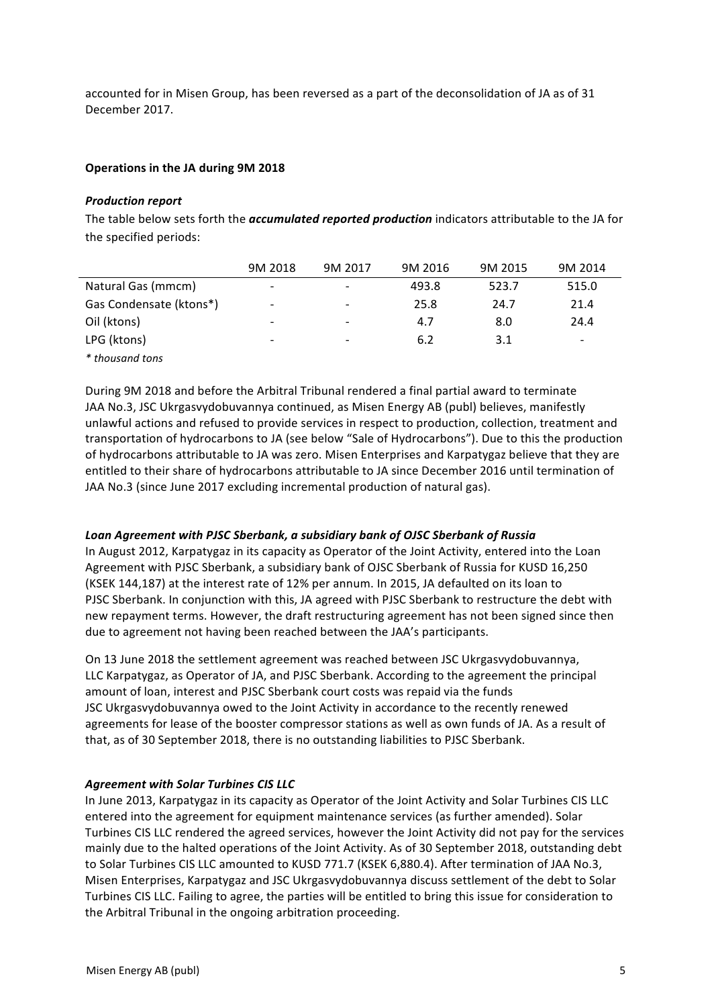accounted for in Misen Group, has been reversed as a part of the deconsolidation of JA as of 31 December 2017.

# **Operations in the JA during 9M 2018**

## **Production report**

The table below sets forth the *accumulated reported production* indicators attributable to the JA for the specified periods:

|                         | 9M 2018                  | 9M 2017                  | 9M 2016 | 9M 2015 | 9M 2014 |
|-------------------------|--------------------------|--------------------------|---------|---------|---------|
| Natural Gas (mmcm)      | $\overline{\phantom{a}}$ | $\overline{\phantom{0}}$ | 493.8   | 523.7   | 515.0   |
| Gas Condensate (ktons*) | $\overline{\phantom{a}}$ | $\overline{\phantom{a}}$ | 25.8    | 24.7    | 21.4    |
| Oil (ktons)             | -                        |                          | 4.7     | 8.0     | 24.4    |
| LPG (ktons)             | -                        |                          | 6.2     | 3.1     | -       |
| * thousand tons         |                          |                          |         |         |         |

During 9M 2018 and before the Arbitral Tribunal rendered a final partial award to terminate JAA No.3, JSC Ukrgasvydobuvannya continued, as Misen Energy AB (publ) believes, manifestly unlawful actions and refused to provide services in respect to production, collection, treatment and transportation of hydrocarbons to JA (see below "Sale of Hydrocarbons"). Due to this the production of hydrocarbons attributable to JA was zero. Misen Enterprises and Karpatygaz believe that they are entitled to their share of hydrocarbons attributable to JA since December 2016 until termination of JAA No.3 (since June 2017 excluding incremental production of natural gas).

# Loan Agreement with PJSC Sberbank, a subsidiary bank of OJSC Sberbank of Russia

In August 2012, Karpatygaz in its capacity as Operator of the Joint Activity, entered into the Loan Agreement with PJSC Sberbank, a subsidiary bank of OJSC Sberbank of Russia for KUSD 16,250 (KSEK 144.187) at the interest rate of 12% per annum. In 2015, JA defaulted on its loan to PJSC Sberbank. In conjunction with this, JA agreed with PJSC Sberbank to restructure the debt with new repayment terms. However, the draft restructuring agreement has not been signed since then due to agreement not having been reached between the JAA's participants.

On 13 June 2018 the settlement agreement was reached between JSC Ukrgasvydobuvannya, LLC Karpatygaz, as Operator of JA, and PJSC Sberbank. According to the agreement the principal amount of loan, interest and PJSC Sberbank court costs was repaid via the funds JSC Ukrgasvydobuvannya owed to the Joint Activity in accordance to the recently renewed agreements for lease of the booster compressor stations as well as own funds of JA. As a result of that, as of 30 September 2018, there is no outstanding liabilities to PJSC Sberbank.

# **Agreement with Solar Turbines CIS LLC**

In June 2013, Karpatygaz in its capacity as Operator of the Joint Activity and Solar Turbines CIS LLC entered into the agreement for equipment maintenance services (as further amended). Solar Turbines CIS LLC rendered the agreed services, however the Joint Activity did not pay for the services mainly due to the halted operations of the Joint Activity. As of 30 September 2018, outstanding debt to Solar Turbines CIS LLC amounted to KUSD 771.7 (KSEK 6,880.4). After termination of JAA No.3, Misen Enterprises, Karpatygaz and JSC Ukrgasvydobuvannya discuss settlement of the debt to Solar Turbines CIS LLC. Failing to agree, the parties will be entitled to bring this issue for consideration to the Arbitral Tribunal in the ongoing arbitration proceeding.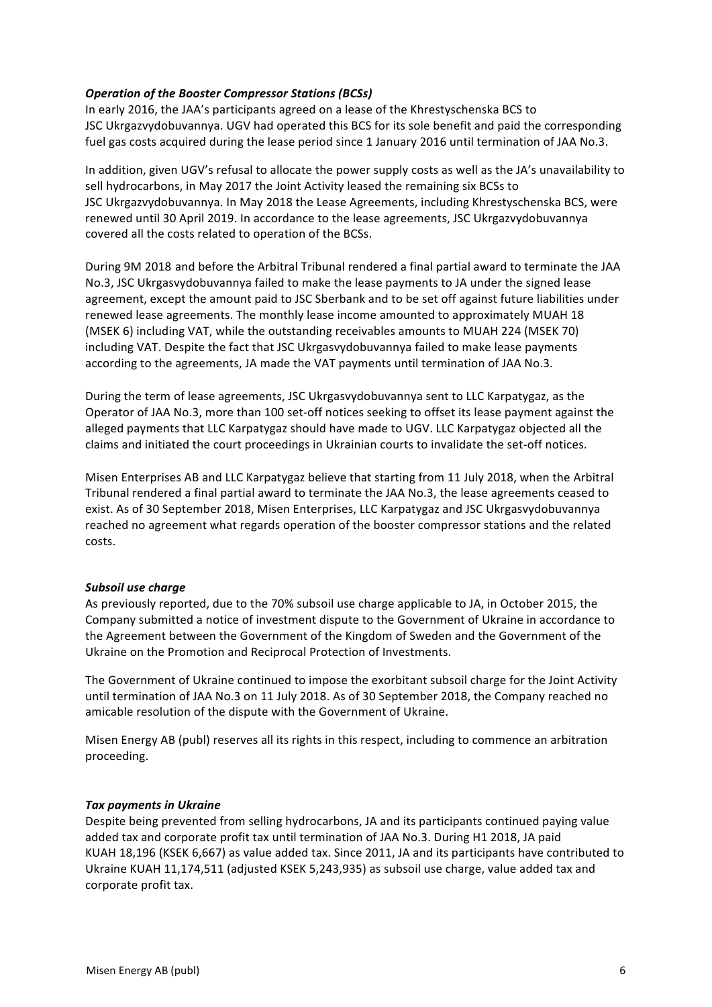# **Operation of the Booster Compressor Stations (BCSs)**

In early 2016, the JAA's participants agreed on a lease of the Khrestyschenska BCS to JSC Ukrgazvydobuvannya. UGV had operated this BCS for its sole benefit and paid the corresponding fuel gas costs acquired during the lease period since 1 January 2016 until termination of JAA No.3.

In addition, given UGV's refusal to allocate the power supply costs as well as the JA's unavailability to sell hydrocarbons, in May 2017 the Joint Activity leased the remaining six BCSs to JSC Ukrgazvydobuvannya. In May 2018 the Lease Agreements, including Khrestyschenska BCS, were renewed until 30 April 2019. In accordance to the lease agreements, JSC Ukrgazvydobuvannya covered all the costs related to operation of the BCSs.

During 9M 2018 and before the Arbitral Tribunal rendered a final partial award to terminate the JAA No.3, JSC Ukrgasvydobuvannya failed to make the lease payments to JA under the signed lease agreement, except the amount paid to JSC Sberbank and to be set off against future liabilities under renewed lease agreements. The monthly lease income amounted to approximately MUAH 18 (MSEK 6) including VAT, while the outstanding receivables amounts to MUAH 224 (MSEK 70) including VAT. Despite the fact that JSC Ukrgasvydobuvannya failed to make lease payments according to the agreements, JA made the VAT payments until termination of JAA No.3.

During the term of lease agreements, JSC Ukrgasvydobuvannya sent to LLC Karpatygaz, as the Operator of JAA No.3, more than 100 set-off notices seeking to offset its lease payment against the alleged payments that LLC Karpatygaz should have made to UGV. LLC Karpatygaz objected all the claims and initiated the court proceedings in Ukrainian courts to invalidate the set-off notices.

Misen Enterprises AB and LLC Karpatygaz believe that starting from 11 July 2018, when the Arbitral Tribunal rendered a final partial award to terminate the JAA No.3, the lease agreements ceased to exist. As of 30 September 2018, Misen Enterprises, LLC Karpatygaz and JSC Ukrgasvydobuvannya reached no agreement what regards operation of the booster compressor stations and the related costs.

# **Subsoil use charge**

As previously reported, due to the 70% subsoil use charge applicable to JA, in October 2015, the Company submitted a notice of investment dispute to the Government of Ukraine in accordance to the Agreement between the Government of the Kingdom of Sweden and the Government of the Ukraine on the Promotion and Reciprocal Protection of Investments.

The Government of Ukraine continued to impose the exorbitant subsoil charge for the Joint Activity until termination of JAA No.3 on 11 July 2018. As of 30 September 2018, the Company reached no amicable resolution of the dispute with the Government of Ukraine.

Misen Energy AB (publ) reserves all its rights in this respect, including to commence an arbitration proceeding.

# **Tax payments in Ukraine**

Despite being prevented from selling hydrocarbons, JA and its participants continued paying value added tax and corporate profit tax until termination of JAA No.3. During H1 2018, JA paid KUAH 18,196 (KSEK 6,667) as value added tax. Since 2011, JA and its participants have contributed to Ukraine KUAH 11,174,511 (adjusted KSEK 5,243,935) as subsoil use charge, value added tax and corporate profit tax.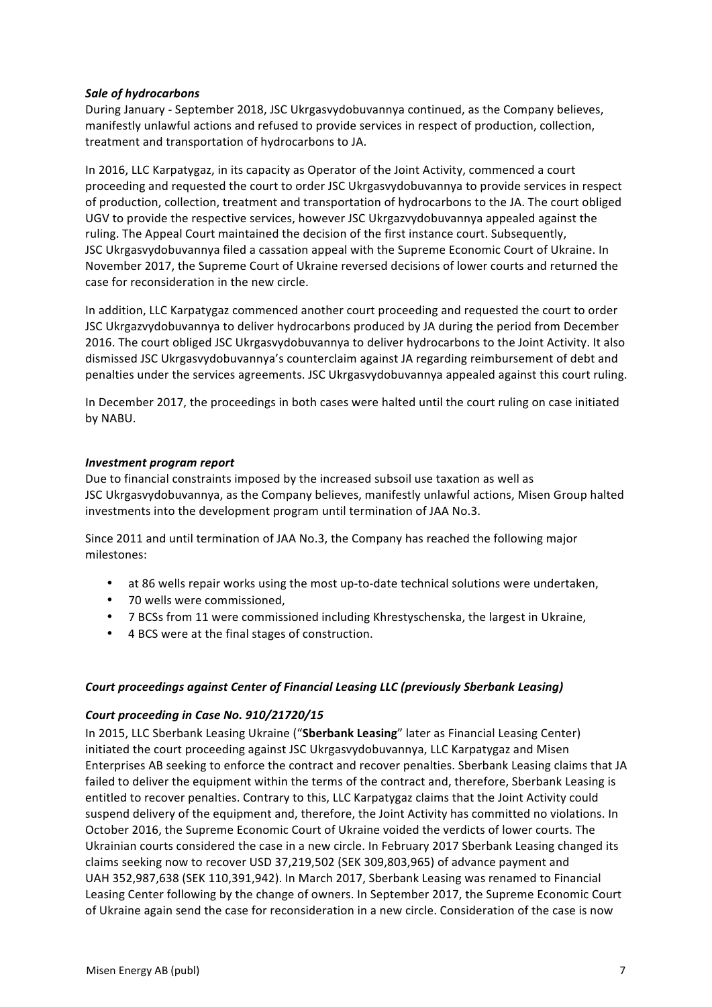# **Sale of hydrocarbons**

During January - September 2018, JSC Ukrgasvydobuvannya continued, as the Company believes, manifestly unlawful actions and refused to provide services in respect of production, collection, treatment and transportation of hydrocarbons to JA.

In 2016, LLC Karpatygaz, in its capacity as Operator of the Joint Activity, commenced a court proceeding and requested the court to order JSC Ukrgasvydobuvannya to provide services in respect of production, collection, treatment and transportation of hydrocarbons to the JA. The court obliged UGV to provide the respective services, however JSC Ukrgazvydobuvannya appealed against the ruling. The Appeal Court maintained the decision of the first instance court. Subsequently, JSC Ukrgasvydobuvannya filed a cassation appeal with the Supreme Economic Court of Ukraine. In November 2017, the Supreme Court of Ukraine reversed decisions of lower courts and returned the case for reconsideration in the new circle.

In addition, LLC Karpatygaz commenced another court proceeding and requested the court to order JSC Ukrgazvydobuvannya to deliver hydrocarbons produced by JA during the period from December 2016. The court obliged JSC Ukrgasvydobuvannya to deliver hydrocarbons to the Joint Activity. It also dismissed JSC Ukrgasvydobuvannya's counterclaim against JA regarding reimbursement of debt and penalties under the services agreements. JSC Ukrgasvydobuvannya appealed against this court ruling.

In December 2017, the proceedings in both cases were halted until the court ruling on case initiated by NABU.

# *Investment program report*

Due to financial constraints imposed by the increased subsoil use taxation as well as JSC Ukrgasvydobuvannya, as the Company believes, manifestly unlawful actions, Misen Group halted investments into the development program until termination of JAA No.3.

Since 2011 and until termination of JAA No.3, the Company has reached the following major milestones:

- at 86 wells repair works using the most up-to-date technical solutions were undertaken,
- 70 wells were commissioned,
- 7 BCSs from 11 were commissioned including Khrestyschenska, the largest in Ukraine,
- 4 BCS were at the final stages of construction.

# *Court proceedings against Center of Financial Leasing LLC (previously Sberbank Leasing)*

# *Court proceeding in Case No. 910/21720/15*

In 2015, LLC Sberbank Leasing Ukraine ("Sberbank Leasing" later as Financial Leasing Center) initiated the court proceeding against JSC Ukrgasvydobuvannya, LLC Karpatygaz and Misen Enterprises AB seeking to enforce the contract and recover penalties. Sberbank Leasing claims that JA failed to deliver the equipment within the terms of the contract and, therefore, Sberbank Leasing is entitled to recover penalties. Contrary to this, LLC Karpatygaz claims that the Joint Activity could suspend delivery of the equipment and, therefore, the Joint Activity has committed no violations. In October 2016, the Supreme Economic Court of Ukraine voided the verdicts of lower courts. The Ukrainian courts considered the case in a new circle. In February 2017 Sberbank Leasing changed its claims seeking now to recover USD 37,219,502 (SEK 309,803,965) of advance payment and UAH 352,987,638 (SEK 110,391,942). In March 2017, Sberbank Leasing was renamed to Financial Leasing Center following by the change of owners. In September 2017, the Supreme Economic Court of Ukraine again send the case for reconsideration in a new circle. Consideration of the case is now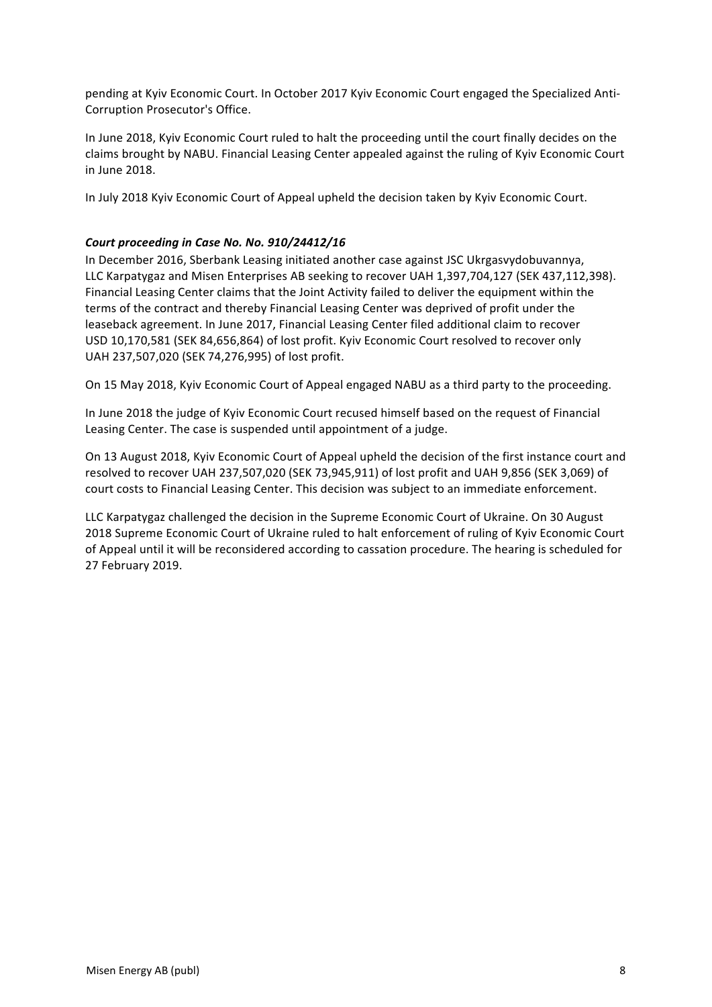pending at Kyiv Economic Court. In October 2017 Kyiv Economic Court engaged the Specialized Anti-Corruption Prosecutor's Office.

In June 2018, Kyiv Economic Court ruled to halt the proceeding until the court finally decides on the claims brought by NABU. Financial Leasing Center appealed against the ruling of Kyiv Economic Court in June 2018.

In July 2018 Kyiv Economic Court of Appeal upheld the decision taken by Kyiv Economic Court.

# Court proceeding in Case No. No. 910/24412/16

In December 2016, Sberbank Leasing initiated another case against JSC Ukrgasvydobuvannya, LLC Karpatygaz and Misen Enterprises AB seeking to recover UAH 1,397,704,127 (SEK 437,112,398). Financial Leasing Center claims that the Joint Activity failed to deliver the equipment within the terms of the contract and thereby Financial Leasing Center was deprived of profit under the leaseback agreement. In June 2017, Financial Leasing Center filed additional claim to recover USD 10,170,581 (SEK 84,656,864) of lost profit. Kyiv Economic Court resolved to recover only UAH 237,507,020 (SEK 74,276,995) of lost profit.

On 15 May 2018, Kyiv Economic Court of Appeal engaged NABU as a third party to the proceeding.

In June 2018 the judge of Kyiv Economic Court recused himself based on the request of Financial Leasing Center. The case is suspended until appointment of a judge.

On 13 August 2018, Kyiv Economic Court of Appeal upheld the decision of the first instance court and resolved to recover UAH 237,507,020 (SEK 73,945,911) of lost profit and UAH 9,856 (SEK 3,069) of court costs to Financial Leasing Center. This decision was subject to an immediate enforcement.

LLC Karpatygaz challenged the decision in the Supreme Economic Court of Ukraine. On 30 August 2018 Supreme Economic Court of Ukraine ruled to halt enforcement of ruling of Kyiv Economic Court of Appeal until it will be reconsidered according to cassation procedure. The hearing is scheduled for 27 February 2019.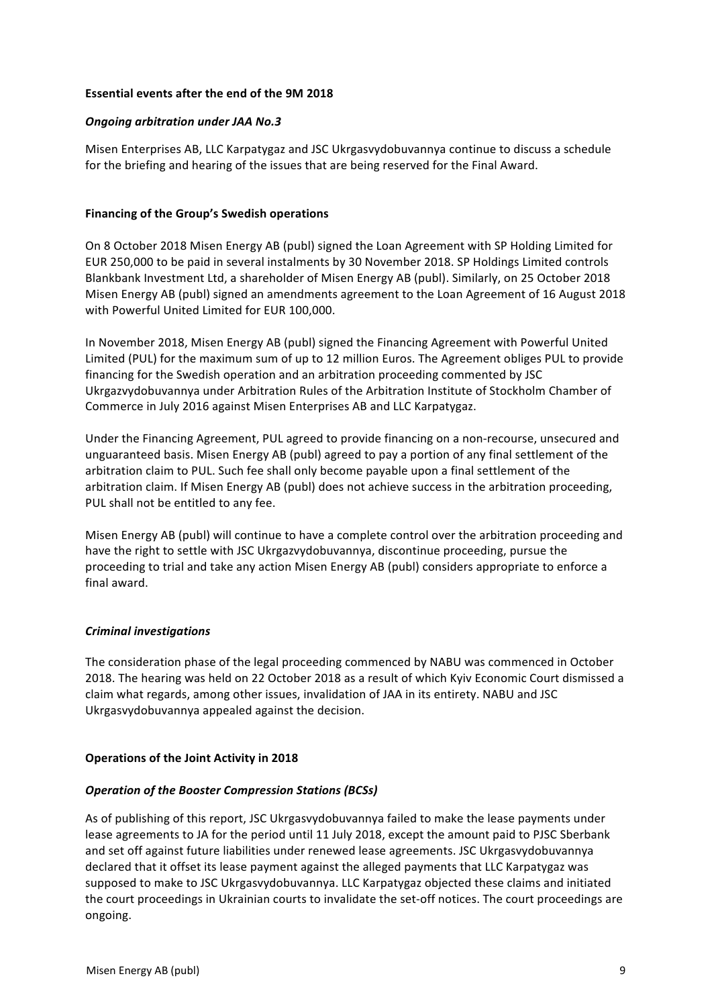# **Essential events after the end of the 9M 2018**

# *Ongoing arbitration under JAA No.3*

Misen Enterprises AB, LLC Karpatygaz and JSC Ukrgasvydobuvannya continue to discuss a schedule for the briefing and hearing of the issues that are being reserved for the Final Award.

# **Financing of the Group's Swedish operations**

On 8 October 2018 Misen Energy AB (publ) signed the Loan Agreement with SP Holding Limited for EUR 250,000 to be paid in several instalments by 30 November 2018. SP Holdings Limited controls Blankbank Investment Ltd, a shareholder of Misen Energy AB (publ). Similarly, on 25 October 2018 Misen Energy AB (publ) signed an amendments agreement to the Loan Agreement of 16 August 2018 with Powerful United Limited for EUR 100,000.

In November 2018, Misen Energy AB (publ) signed the Financing Agreement with Powerful United Limited (PUL) for the maximum sum of up to 12 million Euros. The Agreement obliges PUL to provide financing for the Swedish operation and an arbitration proceeding commented by JSC Ukrgazvydobuvannya under Arbitration Rules of the Arbitration Institute of Stockholm Chamber of Commerce in July 2016 against Misen Enterprises AB and LLC Karpatygaz.

Under the Financing Agreement, PUL agreed to provide financing on a non-recourse, unsecured and unguaranteed basis. Misen Energy AB (publ) agreed to pay a portion of any final settlement of the arbitration claim to PUL. Such fee shall only become payable upon a final settlement of the arbitration claim. If Misen Energy AB (publ) does not achieve success in the arbitration proceeding, PUL shall not be entitled to any fee.

Misen Energy AB (publ) will continue to have a complete control over the arbitration proceeding and have the right to settle with JSC Ukrgazvydobuvannya, discontinue proceeding, pursue the proceeding to trial and take any action Misen Energy AB (publ) considers appropriate to enforce a final award.

# *Criminal investigations*

The consideration phase of the legal proceeding commenced by NABU was commenced in October 2018. The hearing was held on 22 October 2018 as a result of which Kyiv Economic Court dismissed a claim what regards, among other issues, invalidation of JAA in its entirety. NABU and JSC Ukrgasvydobuvannya appealed against the decision.

# **Operations of the Joint Activity in 2018**

# **Operation of the Booster Compression Stations (BCSs)**

As of publishing of this report, JSC Ukrgasvydobuvannya failed to make the lease payments under lease agreements to JA for the period until 11 July 2018, except the amount paid to PJSC Sberbank and set off against future liabilities under renewed lease agreements. JSC Ukrgasvydobuvannya declared that it offset its lease payment against the alleged payments that LLC Karpatygaz was supposed to make to JSC Ukrgasvydobuvannya. LLC Karpatygaz objected these claims and initiated the court proceedings in Ukrainian courts to invalidate the set-off notices. The court proceedings are ongoing.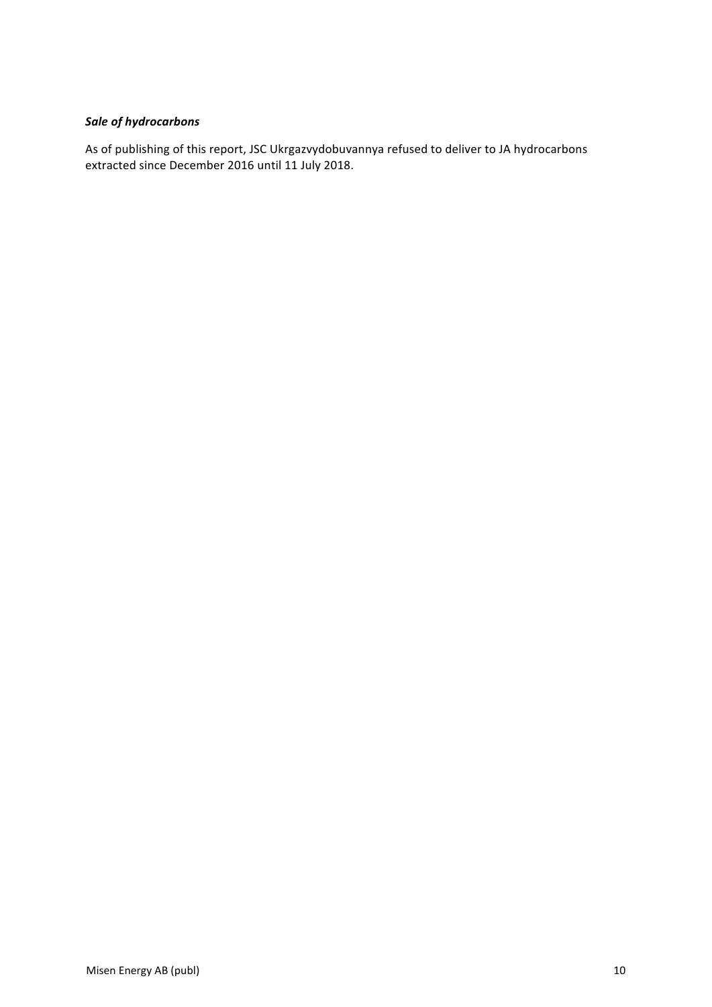# *Sale of hydrocarbons*

As of publishing of this report, JSC Ukrgazvydobuvannya refused to deliver to JA hydrocarbons extracted since December 2016 until 11 July 2018.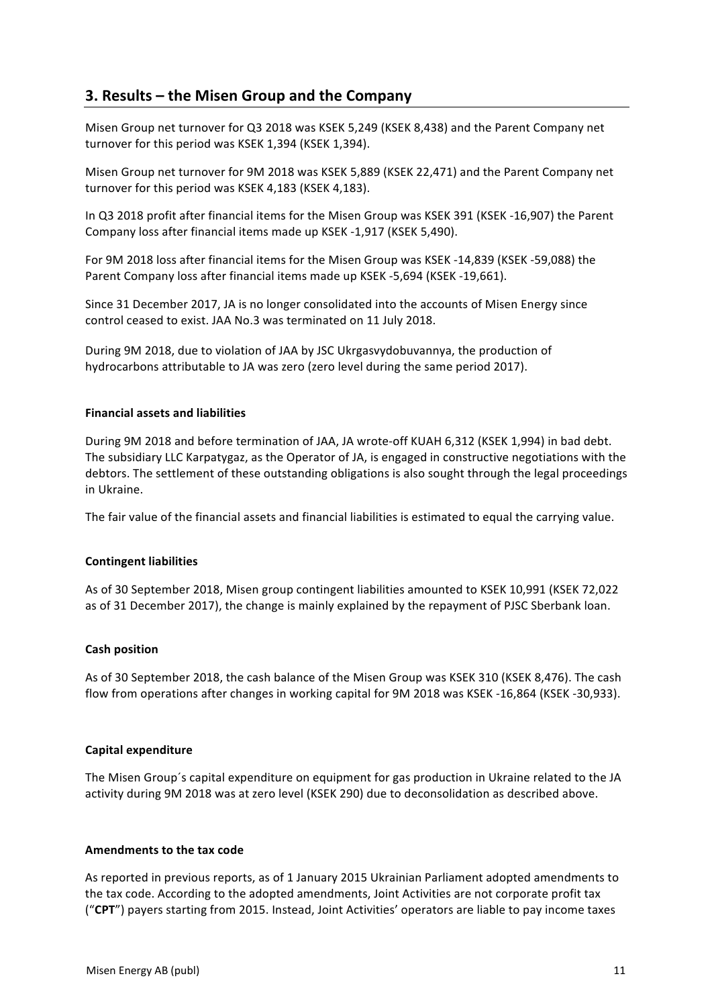# **3. Results – the Misen Group and the Company**

Misen Group net turnover for Q3 2018 was KSEK 5,249 (KSEK 8,438) and the Parent Company net turnover for this period was KSEK 1,394 (KSEK 1,394).

Misen Group net turnover for 9M 2018 was KSEK 5,889 (KSEK 22,471) and the Parent Company net turnover for this period was KSEK 4,183 (KSEK 4,183).

In Q3 2018 profit after financial items for the Misen Group was KSEK 391 (KSEK -16,907) the Parent Company loss after financial items made up KSEK -1,917 (KSEK 5,490).

For 9M 2018 loss after financial items for the Misen Group was KSEK -14,839 (KSEK -59,088) the Parent Company loss after financial items made up KSEK -5,694 (KSEK -19,661).

Since 31 December 2017, JA is no longer consolidated into the accounts of Misen Energy since control ceased to exist. JAA No.3 was terminated on 11 July 2018.

During 9M 2018, due to violation of JAA by JSC Ukrgasvydobuvannya, the production of hydrocarbons attributable to JA was zero (zero level during the same period 2017).

## **Financial assets and liabilities**

During 9M 2018 and before termination of JAA, JA wrote-off KUAH 6,312 (KSEK 1,994) in bad debt. The subsidiary LLC Karpatygaz, as the Operator of JA, is engaged in constructive negotiations with the debtors. The settlement of these outstanding obligations is also sought through the legal proceedings in Ukraine.

The fair value of the financial assets and financial liabilities is estimated to equal the carrying value.

### **Contingent liabilities**

As of 30 September 2018, Misen group contingent liabilities amounted to KSEK 10,991 (KSEK 72,022 as of 31 December 2017), the change is mainly explained by the repayment of PJSC Sberbank loan.

### **Cash position**

As of 30 September 2018, the cash balance of the Misen Group was KSEK 310 (KSEK 8.476). The cash flow from operations after changes in working capital for 9M 2018 was KSEK -16,864 (KSEK -30,933).

### **Capital expenditure**

The Misen Group's capital expenditure on equipment for gas production in Ukraine related to the JA activity during 9M 2018 was at zero level (KSEK 290) due to deconsolidation as described above.

### **Amendments to the tax code**

As reported in previous reports, as of 1 January 2015 Ukrainian Parliament adopted amendments to the tax code. According to the adopted amendments, Joint Activities are not corporate profit tax ("CPT") payers starting from 2015. Instead, Joint Activities' operators are liable to pay income taxes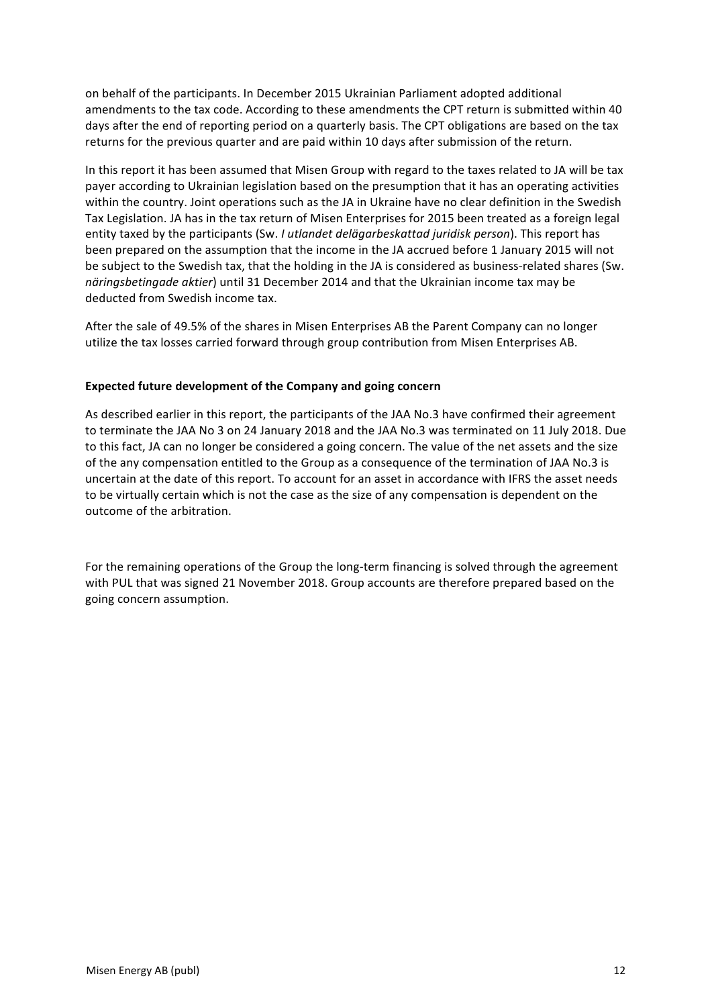on behalf of the participants. In December 2015 Ukrainian Parliament adopted additional amendments to the tax code. According to these amendments the CPT return is submitted within 40 days after the end of reporting period on a quarterly basis. The CPT obligations are based on the tax returns for the previous quarter and are paid within 10 days after submission of the return.

In this report it has been assumed that Misen Group with regard to the taxes related to JA will be tax payer according to Ukrainian legislation based on the presumption that it has an operating activities within the country. Joint operations such as the JA in Ukraine have no clear definition in the Swedish Tax Legislation. JA has in the tax return of Misen Enterprises for 2015 been treated as a foreign legal entity taxed by the participants (Sw. *I utlandet delägarbeskattad juridisk person*). This report has been prepared on the assumption that the income in the JA accrued before 1 January 2015 will not be subject to the Swedish tax, that the holding in the JA is considered as business-related shares (Sw. *näringsbetingade aktier*) until 31 December 2014 and that the Ukrainian income tax may be deducted from Swedish income tax.

After the sale of 49.5% of the shares in Misen Enterprises AB the Parent Company can no longer utilize the tax losses carried forward through group contribution from Misen Enterprises AB.

# **Expected future development of the Company and going concern**

As described earlier in this report, the participants of the JAA No.3 have confirmed their agreement to terminate the JAA No 3 on 24 January 2018 and the JAA No.3 was terminated on 11 July 2018. Due to this fact, JA can no longer be considered a going concern. The value of the net assets and the size of the any compensation entitled to the Group as a consequence of the termination of JAA No.3 is uncertain at the date of this report. To account for an asset in accordance with IFRS the asset needs to be virtually certain which is not the case as the size of any compensation is dependent on the outcome of the arbitration.

For the remaining operations of the Group the long-term financing is solved through the agreement with PUL that was signed 21 November 2018. Group accounts are therefore prepared based on the going concern assumption.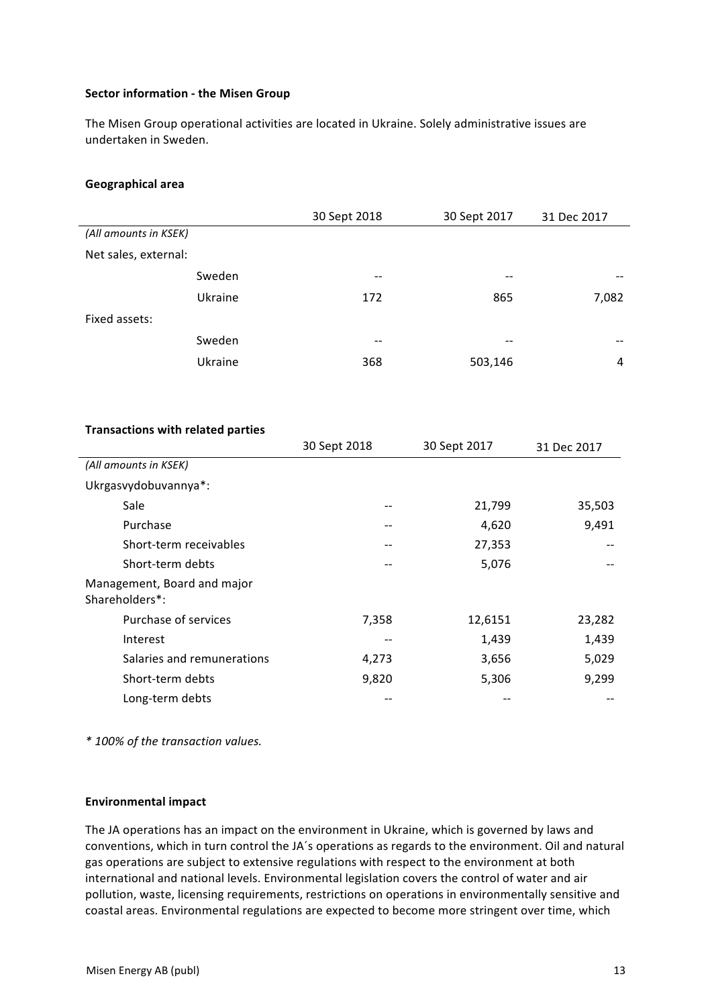## **Sector information - the Misen Group**

The Misen Group operational activities are located in Ukraine. Solely administrative issues are undertaken in Sweden.

### **Geographical area**

|                       | 30 Sept 2018 | 30 Sept 2017 | 31 Dec 2017 |
|-----------------------|--------------|--------------|-------------|
| (All amounts in KSEK) |              |              |             |
| Net sales, external:  |              |              |             |
| Sweden                | $- -$        | --           | --          |
| Ukraine               | 172          | 865          | 7,082       |
| Fixed assets:         |              |              |             |
| Sweden                | $- -$        | --           |             |
| Ukraine               | 368          | 503,146      | 4           |

### **Transactions with related parties**

|                                               | 30 Sept 2018 | 30 Sept 2017 | 31 Dec 2017 |
|-----------------------------------------------|--------------|--------------|-------------|
| (All amounts in KSEK)                         |              |              |             |
| Ukrgasvydobuvannya*:                          |              |              |             |
| Sale                                          |              | 21,799       | 35,503      |
| Purchase                                      |              | 4,620        | 9,491       |
| Short-term receivables                        | --           | 27,353       |             |
| Short-term debts                              |              | 5,076        |             |
| Management, Board and major<br>Shareholders*: |              |              |             |
| Purchase of services                          | 7,358        | 12,6151      | 23,282      |
| Interest                                      | --           | 1,439        | 1,439       |
| Salaries and remunerations                    | 4,273        | 3,656        | 5,029       |
| Short-term debts                              | 9,820        | 5,306        | 9,299       |
| Long-term debts                               |              |              |             |

*\* 100% of the transaction values.*

### **Environmental impact**

The JA operations has an impact on the environment in Ukraine, which is governed by laws and conventions, which in turn control the JA's operations as regards to the environment. Oil and natural gas operations are subject to extensive regulations with respect to the environment at both international and national levels. Environmental legislation covers the control of water and air pollution, waste, licensing requirements, restrictions on operations in environmentally sensitive and coastal areas. Environmental regulations are expected to become more stringent over time, which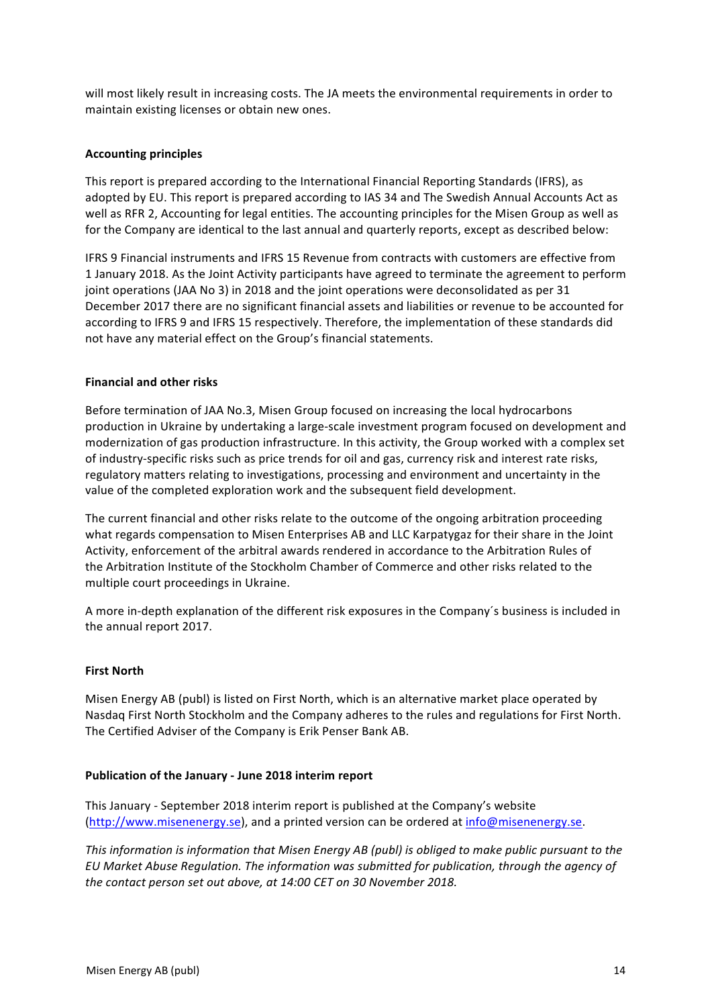will most likely result in increasing costs. The JA meets the environmental requirements in order to maintain existing licenses or obtain new ones.

# **Accounting principles**

This report is prepared according to the International Financial Reporting Standards (IFRS), as adopted by EU. This report is prepared according to IAS 34 and The Swedish Annual Accounts Act as well as RFR 2, Accounting for legal entities. The accounting principles for the Misen Group as well as for the Company are identical to the last annual and quarterly reports, except as described below:

IFRS 9 Financial instruments and IFRS 15 Revenue from contracts with customers are effective from 1 January 2018. As the Joint Activity participants have agreed to terminate the agreement to perform joint operations (JAA No 3) in 2018 and the joint operations were deconsolidated as per 31 December 2017 there are no significant financial assets and liabilities or revenue to be accounted for according to IFRS 9 and IFRS 15 respectively. Therefore, the implementation of these standards did not have any material effect on the Group's financial statements.

# **Financial and other risks**

Before termination of JAA No.3, Misen Group focused on increasing the local hydrocarbons production in Ukraine by undertaking a large-scale investment program focused on development and modernization of gas production infrastructure. In this activity, the Group worked with a complex set of industry-specific risks such as price trends for oil and gas, currency risk and interest rate risks, regulatory matters relating to investigations, processing and environment and uncertainty in the value of the completed exploration work and the subsequent field development.

The current financial and other risks relate to the outcome of the ongoing arbitration proceeding what regards compensation to Misen Enterprises AB and LLC Karpatygaz for their share in the Joint Activity, enforcement of the arbitral awards rendered in accordance to the Arbitration Rules of the Arbitration Institute of the Stockholm Chamber of Commerce and other risks related to the multiple court proceedings in Ukraine.

A more in-depth explanation of the different risk exposures in the Company's business is included in the annual report 2017.

# **First North**

Misen Energy AB (publ) is listed on First North, which is an alternative market place operated by Nasdag First North Stockholm and the Company adheres to the rules and regulations for First North. The Certified Adviser of the Company is Erik Penser Bank AB.

# **Publication of the January - June 2018 interim report**

This January - September 2018 interim report is published at the Company's website (http://www.misenenergy.se), and a printed version can be ordered at info@misenenergy.se.

*This information is information that Misen Energy AB (publ) is obliged to make public pursuant to the* EU Market Abuse Regulation. The information was submitted for publication, through the agency of *the contact person set out above, at 14:00 CET on 30 November 2018.*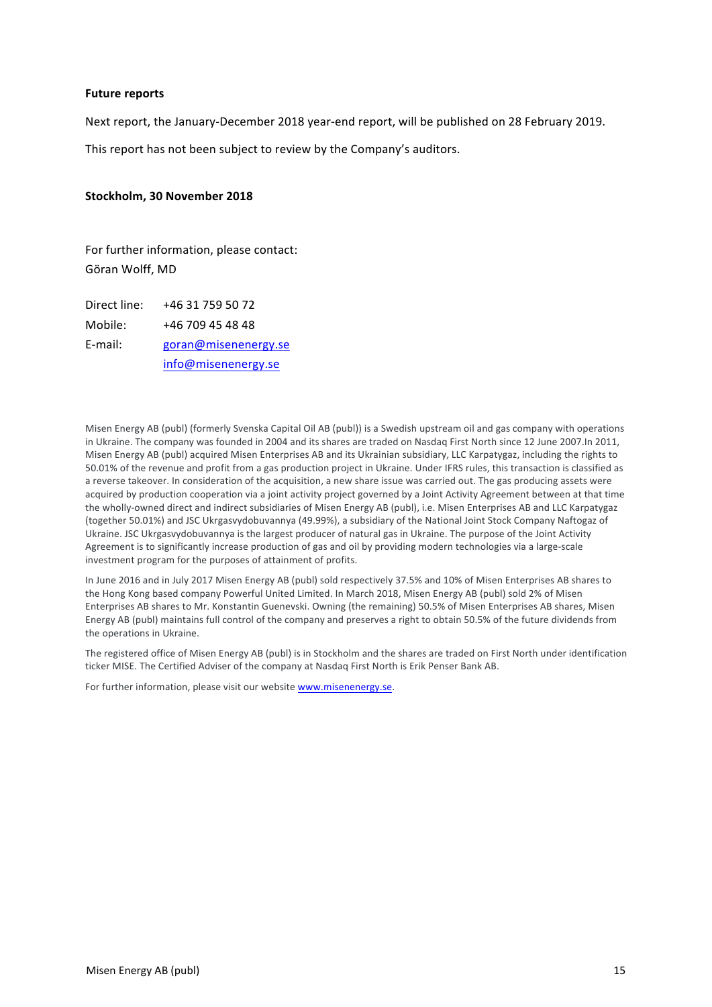### **Future reports**

Next report, the January-December 2018 year-end report, will be published on 28 February 2019.

This report has not been subject to review by the Company's auditors.

#### Stockholm, 30 November 2018

For further information, please contact: Göran Wolff, MD

Direct line: +46 31 759 50 72 Mobile: +46 709 45 48 48 E-mail: goran@misenenergy.se info@misenenergy.se

Misen Energy AB (publ) (formerly Svenska Capital Oil AB (publ)) is a Swedish upstream oil and gas company with operations in Ukraine. The company was founded in 2004 and its shares are traded on Nasdaq First North since 12 June 2007.In 2011, Misen Energy AB (publ) acquired Misen Enterprises AB and its Ukrainian subsidiary, LLC Karpatygaz, including the rights to 50.01% of the revenue and profit from a gas production project in Ukraine. Under IFRS rules, this transaction is classified as a reverse takeover. In consideration of the acquisition, a new share issue was carried out. The gas producing assets were acquired by production cooperation via a joint activity project governed by a Joint Activity Agreement between at that time the wholly-owned direct and indirect subsidiaries of Misen Energy AB (publ), i.e. Misen Enterprises AB and LLC Karpatygaz (together 50.01%) and JSC Ukrgasvydobuvannya (49.99%), a subsidiary of the National Joint Stock Company Naftogaz of Ukraine. JSC Ukrgasvydobuvannya is the largest producer of natural gas in Ukraine. The purpose of the Joint Activity Agreement is to significantly increase production of gas and oil by providing modern technologies via a large-scale investment program for the purposes of attainment of profits.

In June 2016 and in July 2017 Misen Energy AB (publ) sold respectively 37.5% and 10% of Misen Enterprises AB shares to the Hong Kong based company Powerful United Limited. In March 2018, Misen Energy AB (publ) sold 2% of Misen Enterprises AB shares to Mr. Konstantin Guenevski. Owning (the remaining) 50.5% of Misen Enterprises AB shares, Misen Energy AB (publ) maintains full control of the company and preserves a right to obtain 50.5% of the future dividends from the operations in Ukraine.

The registered office of Misen Energy AB (publ) is in Stockholm and the shares are traded on First North under identification ticker MISE. The Certified Adviser of the company at Nasdaq First North is Erik Penser Bank AB.

For further information, please visit our website www.misenenergy.se.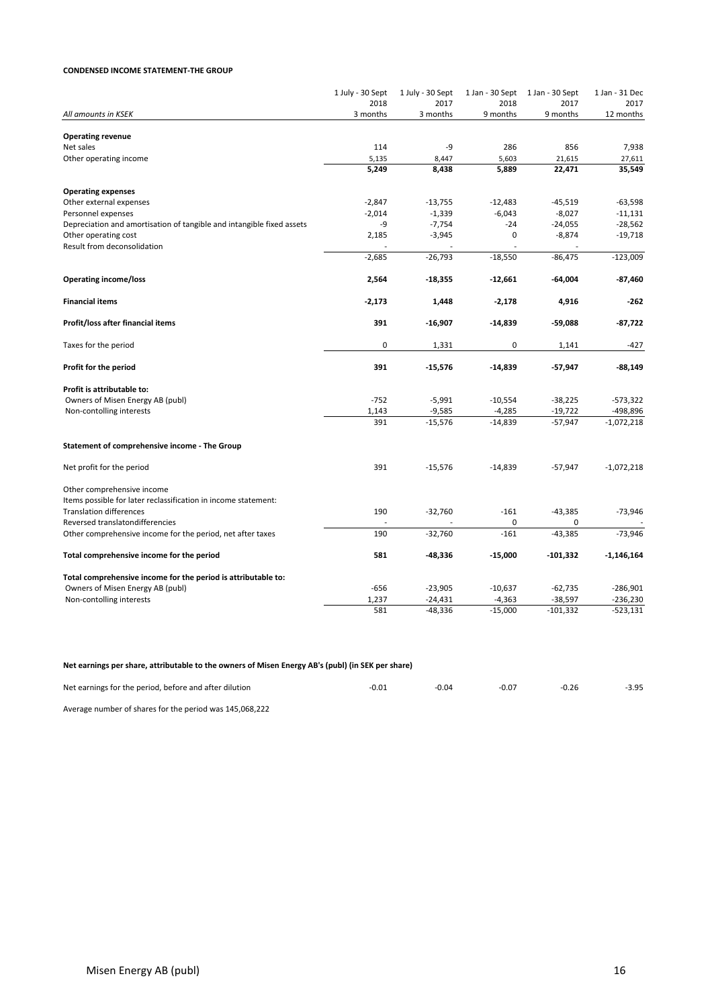#### **CONDENSED INCOME STATEMENT-THE GROUP**

|                                                                       | 1 July - 30 Sept<br>2018 | 1 July - 30 Sept<br>2017 | 1 Jan - 30 Sept<br>2018 | 1 Jan - 30 Sept<br>2017 | 1 Jan - 31 Dec<br>2017   |
|-----------------------------------------------------------------------|--------------------------|--------------------------|-------------------------|-------------------------|--------------------------|
| All amounts in KSEK                                                   | 3 months                 | 3 months                 | 9 months                | 9 months                | 12 months                |
|                                                                       |                          |                          |                         |                         |                          |
| <b>Operating revenue</b>                                              |                          |                          |                         |                         |                          |
| Net sales                                                             | 114                      | -9                       | 286                     | 856                     | 7,938                    |
| Other operating income                                                | 5,135<br>5,249           | 8,447<br>8,438           | 5,603<br>5,889          | 21,615<br>22,471        | 27,611<br>35,549         |
|                                                                       |                          |                          |                         |                         |                          |
| <b>Operating expenses</b>                                             |                          |                          |                         |                         |                          |
| Other external expenses                                               | $-2,847$                 | $-13,755$                | $-12,483$               | $-45,519$               | $-63,598$                |
| Personnel expenses                                                    | $-2,014$                 | $-1,339$                 | $-6,043$                | $-8,027$                | $-11,131$                |
| Depreciation and amortisation of tangible and intangible fixed assets | -9                       | $-7,754$                 | $-24$                   | $-24,055$               | $-28,562$                |
| Other operating cost                                                  | 2,185                    | $-3,945$                 | $\mathbf 0$             | $-8,874$                | $-19,718$                |
| Result from deconsolidation                                           |                          |                          |                         |                         |                          |
|                                                                       | $-2,685$                 | $-26,793$                | $-18,550$               | $-86,475$               | $-123,009$               |
| <b>Operating income/loss</b>                                          | 2,564                    | $-18,355$                | $-12,661$               | $-64,004$               | $-87,460$                |
|                                                                       |                          |                          |                         |                         |                          |
| <b>Financial items</b>                                                | $-2,173$                 | 1,448                    | $-2,178$                | 4,916                   | $-262$                   |
| Profit/loss after financial items                                     | 391                      | $-16,907$                | $-14,839$               | $-59,088$               | $-87,722$                |
| Taxes for the period                                                  | 0                        | 1,331                    | 0                       | 1,141                   | $-427$                   |
| Profit for the period                                                 | 391                      | $-15,576$                | $-14,839$               | $-57,947$               | $-88,149$                |
| Profit is attributable to:                                            |                          |                          |                         |                         |                          |
| Owners of Misen Energy AB (publ)                                      | $-752$                   | $-5,991$                 | $-10,554$               | $-38,225$               | $-573,322$               |
|                                                                       |                          |                          |                         |                         |                          |
| Non-contolling interests                                              | 1,143<br>391             | $-9,585$<br>$-15,576$    | $-4,285$<br>$-14,839$   | $-19,722$<br>$-57,947$  | -498,896<br>$-1,072,218$ |
|                                                                       |                          |                          |                         |                         |                          |
| Statement of comprehensive income - The Group                         |                          |                          |                         |                         |                          |
| Net profit for the period                                             | 391                      | $-15,576$                | $-14,839$               | $-57,947$               | $-1,072,218$             |
| Other comprehensive income                                            |                          |                          |                         |                         |                          |
| Items possible for later reclassification in income statement:        |                          |                          |                         |                         |                          |
| <b>Translation differences</b>                                        | 190                      | $-32,760$                | $-161$                  | $-43,385$               | $-73,946$                |
| Reversed translatondifferencies                                       |                          |                          | 0                       | 0                       |                          |
| Other comprehensive income for the period, net after taxes            | 190                      | $-32,760$                | $-161$                  | $-43,385$               | $-73,946$                |
| Total comprehensive income for the period                             | 581                      | $-48,336$                | $-15,000$               | $-101,332$              | $-1,146,164$             |
|                                                                       |                          |                          |                         |                         |                          |
| Total comprehensive income for the period is attributable to:         |                          |                          |                         |                         |                          |
| Owners of Misen Energy AB (publ)                                      | $-656$                   | $-23,905$                | $-10,637$               | $-62,735$               | $-286,901$               |
| Non-contolling interests                                              | 1,237                    | $-24,431$                | $-4,363$                | $-38,597$               | $-236,230$               |
|                                                                       | 581                      | $-48,336$                | $-15,000$               | $-101,332$              | $-523,131$               |

#### Net earnings per share, attributable to the owners of Misen Energy AB's (publ) (in SEK per share)

| Net earnings for the period, before and after dilution | -0.01 | -0.04 | $-0.07$ | -0.26 | $-3.95$ |
|--------------------------------------------------------|-------|-------|---------|-------|---------|
|                                                        |       |       |         |       |         |

Average number of shares for the period was 145,068,222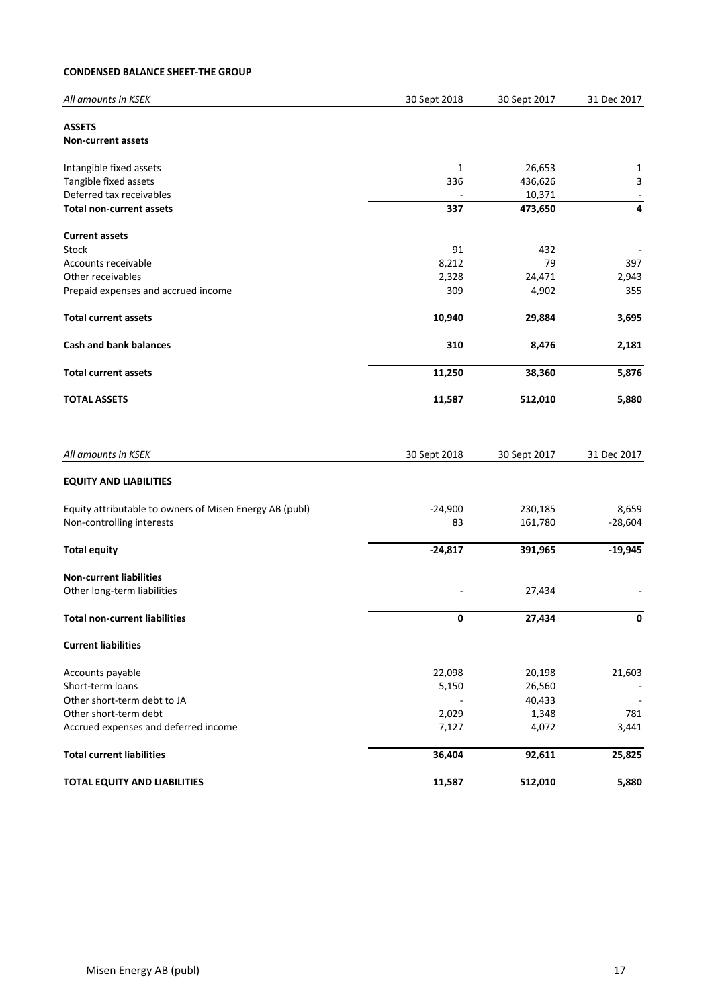## **CONDENSED BALANCE SHEET-THE GROUP**

| All amounts in KSEK                                                                  | 30 Sept 2018    | 30 Sept 2017       | 31 Dec 2017        |
|--------------------------------------------------------------------------------------|-----------------|--------------------|--------------------|
| <b>ASSETS</b>                                                                        |                 |                    |                    |
| <b>Non-current assets</b>                                                            |                 |                    |                    |
| Intangible fixed assets                                                              | 1               | 26,653             | 1                  |
| Tangible fixed assets                                                                | 336             | 436,626            | $\mathbf{3}$       |
| Deferred tax receivables                                                             |                 | 10,371             | $\blacksquare$     |
| <b>Total non-current assets</b>                                                      | 337             | 473,650            | 4                  |
| <b>Current assets</b>                                                                |                 |                    |                    |
| <b>Stock</b>                                                                         | 91              | 432                |                    |
| Accounts receivable                                                                  | 8,212           | 79                 | 397                |
| Other receivables                                                                    | 2,328           | 24,471             | 2,943              |
| Prepaid expenses and accrued income                                                  | 309             | 4,902              | 355                |
| <b>Total current assets</b>                                                          | 10,940          | 29,884             | 3,695              |
| <b>Cash and bank balances</b>                                                        | 310             | 8,476              | 2,181              |
| <b>Total current assets</b>                                                          | 11,250          | 38,360             | 5,876              |
| <b>TOTAL ASSETS</b>                                                                  | 11,587          | 512,010            | 5,880              |
|                                                                                      |                 |                    |                    |
|                                                                                      |                 |                    |                    |
| All amounts in KSEK                                                                  | 30 Sept 2018    | 30 Sept 2017       | 31 Dec 2017        |
| <b>EQUITY AND LIABILITIES</b>                                                        |                 |                    |                    |
|                                                                                      |                 |                    |                    |
| Equity attributable to owners of Misen Energy AB (publ)<br>Non-controlling interests | $-24,900$<br>83 | 230,185<br>161,780 | 8,659<br>$-28,604$ |
| <b>Total equity</b>                                                                  | $-24,817$       | 391,965            | $-19,945$          |
| <b>Non-current liabilities</b>                                                       |                 |                    |                    |
| Other long-term liabilities                                                          |                 | 27,434             |                    |
| <b>Total non-current liabilities</b>                                                 | 0               | 27,434             | 0                  |
| <b>Current liabilities</b>                                                           |                 |                    |                    |
| Accounts payable                                                                     | 22,098          | 20,198             | 21,603             |
| Short-term loans                                                                     | 5,150           | 26,560             |                    |
| Other short-term debt to JA                                                          |                 | 40,433             |                    |
| Other short-term debt                                                                | 2,029           | 1,348              | 781                |
| Accrued expenses and deferred income                                                 | 7,127           | 4,072              | 3,441              |
| <b>Total current liabilities</b>                                                     | 36,404          | 92,611             | 25,825             |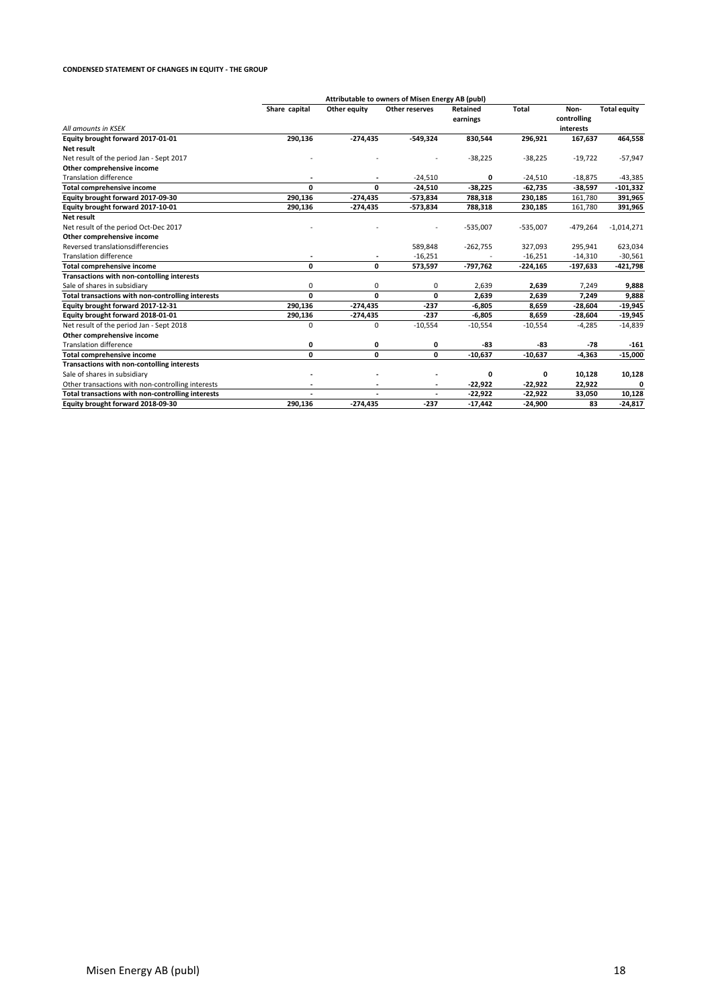#### **CONDENSED STATEMENT OF CHANGES IN EQUITY - THE GROUP**

|                                                   |               |                          | Attributable to owners of Misen Energy AB (publ) |                             |            |                     |                     |
|---------------------------------------------------|---------------|--------------------------|--------------------------------------------------|-----------------------------|------------|---------------------|---------------------|
|                                                   | Share capital | Other equity             | Other reserves                                   | <b>Retained</b><br>earnings | Total      | Non-<br>controlling | <b>Total equity</b> |
| All amounts in KSEK                               |               |                          |                                                  |                             |            | interests           |                     |
| Equity brought forward 2017-01-01                 | 290,136       | $-274,435$               | $-549,324$                                       | 830,544                     | 296,921    | 167,637             | 464,558             |
| Net result                                        |               |                          |                                                  |                             |            |                     |                     |
| Net result of the period Jan - Sept 2017          |               |                          |                                                  | $-38,225$                   | $-38,225$  | $-19,722$           | $-57,947$           |
| Other comprehensive income                        |               |                          |                                                  |                             |            |                     |                     |
| <b>Translation difference</b>                     | ٠             | $\overline{\phantom{a}}$ | $-24,510$                                        | 0                           | $-24,510$  | $-18,875$           | $-43,385$           |
| <b>Total comprehensive income</b>                 | O             | 0                        | $-24,510$                                        | $-38,225$                   | $-62,735$  | $-38,597$           | $-101,332$          |
| Equity brought forward 2017-09-30                 | 290,136       | $-274,435$               | -573,834                                         | 788,318                     | 230,185    | 161,780             | 391,965             |
| Equity brought forward 2017-10-01                 | 290,136       | $-274,435$               | $-573,834$                                       | 788,318                     | 230,185    | 161,780             | 391,965             |
| <b>Net result</b>                                 |               |                          |                                                  |                             |            |                     |                     |
| Net result of the period Oct-Dec 2017             |               |                          |                                                  | $-535,007$                  | $-535,007$ | $-479,264$          | $-1,014,271$        |
| Other comprehensive income                        |               |                          |                                                  |                             |            |                     |                     |
| Reversed translationsdifferencies                 |               |                          | 589,848                                          | $-262,755$                  | 327,093    | 295,941             | 623,034             |
| <b>Translation difference</b>                     |               |                          | $-16,251$                                        |                             | $-16,251$  | $-14,310$           | $-30,561$           |
| <b>Total comprehensive income</b>                 | 0             | 0                        | 573,597                                          | $-797,762$                  | $-224,165$ | -197,633            | -421,798            |
| Transactions with non-contolling interests        |               |                          |                                                  |                             |            |                     |                     |
| Sale of shares in subsidiary                      | 0             | 0                        | 0                                                | 2,639                       | 2,639      | 7,249               | 9,888               |
| Total transactions with non-controlling interests | 0             | 0                        | 0                                                | 2,639                       | 2,639      | 7,249               | 9,888               |
| Equity brought forward 2017-12-31                 | 290,136       | $-274,435$               | $-237$                                           | $-6,805$                    | 8,659      | $-28,604$           | $-19,945$           |
| Equity brought forward 2018-01-01                 | 290,136       | $-274,435$               | $-237$                                           | $-6,805$                    | 8,659      | $-28,604$           | $-19,945$           |
| Net result of the period Jan - Sept 2018          | $\Omega$      | 0                        | $-10,554$                                        | $-10,554$                   | $-10,554$  | $-4,285$            | $-14,839$           |
| Other comprehensive income                        |               |                          |                                                  |                             |            |                     |                     |
| <b>Translation difference</b>                     | 0             | 0                        | 0                                                | -83                         | -83        | $-78$               | $-161$              |
| <b>Total comprehensive income</b>                 | $\mathbf{0}$  | 0                        | 0                                                | $-10,637$                   | $-10,637$  | $-4,363$            | $-15,000$           |
| Transactions with non-contolling interests        |               |                          |                                                  |                             |            |                     |                     |
| Sale of shares in subsidiary                      |               |                          |                                                  | 0                           | 0          | 10,128              | 10,128              |
| Other transactions with non-controlling interests |               |                          |                                                  | $-22,922$                   | $-22,922$  | 22,922              |                     |
| Total transactions with non-controlling interests |               | $\ddot{\phantom{1}}$     |                                                  | $-22,922$                   | $-22,922$  | 33,050              | 10,128              |
| Equity brought forward 2018-09-30                 | 290,136       | $-274,435$               | $-237$                                           | $-17,442$                   | $-24,900$  | 83                  | $-24,817$           |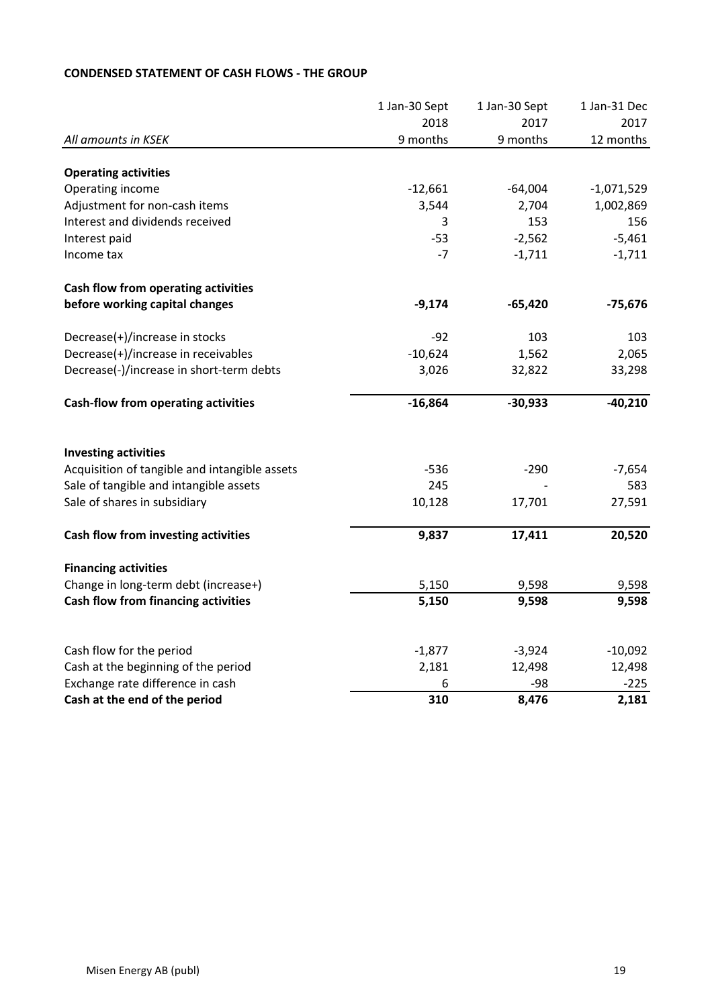|                                               | 1 Jan-30 Sept | 1 Jan-30 Sept | 1 Jan-31 Dec |
|-----------------------------------------------|---------------|---------------|--------------|
|                                               | 2018          | 2017          | 2017         |
| All amounts in KSEK                           | 9 months      | 9 months      | 12 months    |
| <b>Operating activities</b>                   |               |               |              |
| Operating income                              | $-12,661$     | $-64,004$     | $-1,071,529$ |
| Adjustment for non-cash items                 | 3,544         | 2,704         | 1,002,869    |
| Interest and dividends received               | 3             | 153           | 156          |
| Interest paid                                 | $-53$         | $-2,562$      | $-5,461$     |
| Income tax                                    | $-7$          | $-1,711$      | $-1,711$     |
| Cash flow from operating activities           |               |               |              |
| before working capital changes                | $-9,174$      | $-65,420$     | $-75,676$    |
| Decrease(+)/increase in stocks                | $-92$         | 103           | 103          |
| Decrease(+)/increase in receivables           | $-10,624$     | 1,562         | 2,065        |
| Decrease(-)/increase in short-term debts      | 3,026         | 32,822        | 33,298       |
| <b>Cash-flow from operating activities</b>    | $-16,864$     | $-30,933$     | $-40,210$    |
| <b>Investing activities</b>                   |               |               |              |
| Acquisition of tangible and intangible assets | $-536$        | $-290$        | $-7,654$     |
| Sale of tangible and intangible assets        | 245           |               | 583          |
| Sale of shares in subsidiary                  | 10,128        | 17,701        | 27,591       |
| Cash flow from investing activities           | 9,837         | 17,411        | 20,520       |
| <b>Financing activities</b>                   |               |               |              |
| Change in long-term debt (increase+)          | 5,150         | 9,598         | 9,598        |
| Cash flow from financing activities           | 5,150         | 9,598         | 9,598        |
|                                               |               |               |              |
| Cash flow for the period                      | $-1,877$      | $-3,924$      | $-10,092$    |
| Cash at the beginning of the period           | 2,181         | 12,498        | 12,498       |
| Exchange rate difference in cash              | 6             | $-98$         | $-225$       |
| Cash at the end of the period                 | 310           | 8,476         | 2,181        |

# **CONDENSED STATEMENT OF CASH FLOWS - THE GROUP**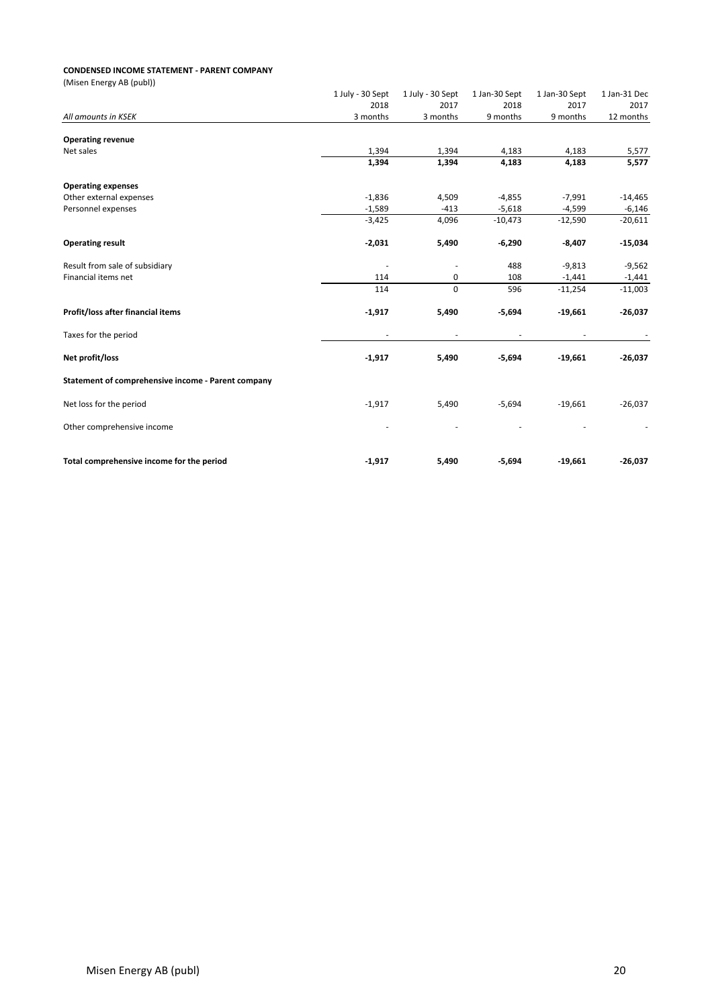#### **CONDENSED INCOME STATEMENT - PARENT COMPANY**

| (Misen Energy AB (publ))                           |                          |                          |                          |                          |              |
|----------------------------------------------------|--------------------------|--------------------------|--------------------------|--------------------------|--------------|
|                                                    | 1 July - 30 Sept         | 1 July - 30 Sept         | 1 Jan-30 Sept            | 1 Jan-30 Sept            | 1 Jan-31 Dec |
|                                                    | 2018                     | 2017                     | 2018                     | 2017                     | 2017         |
| All amounts in KSEK                                | 3 months                 | 3 months                 | 9 months                 | 9 months                 | 12 months    |
| <b>Operating revenue</b>                           |                          |                          |                          |                          |              |
| Net sales                                          | 1,394                    | 1,394                    | 4,183                    | 4,183                    | 5,577        |
|                                                    | 1,394                    | 1,394                    | 4,183                    | 4,183                    | 5,577        |
| <b>Operating expenses</b>                          |                          |                          |                          |                          |              |
| Other external expenses                            | $-1,836$                 | 4,509                    | $-4,855$                 | $-7,991$                 | $-14,465$    |
| Personnel expenses                                 | $-1,589$                 | $-413$                   | $-5,618$                 | $-4,599$                 | $-6,146$     |
|                                                    | $-3,425$                 | 4,096                    | $-10,473$                | $-12,590$                | $-20,611$    |
| <b>Operating result</b>                            | $-2,031$                 | 5,490                    | $-6,290$                 | $-8,407$                 | $-15,034$    |
| Result from sale of subsidiary                     | $\overline{\phantom{a}}$ | $\overline{\phantom{a}}$ | 488                      | $-9,813$                 | $-9,562$     |
| Financial items net                                | 114                      | 0                        | 108                      | $-1,441$                 | $-1,441$     |
|                                                    | 114                      | $\mathbf 0$              | 596                      | $-11,254$                | $-11,003$    |
| Profit/loss after financial items                  | $-1,917$                 | 5,490                    | $-5,694$                 | $-19,661$                | $-26,037$    |
| Taxes for the period                               | $\overline{\phantom{a}}$ | $\overline{\phantom{a}}$ | $\overline{\phantom{a}}$ | $\overline{\phantom{a}}$ |              |
| Net profit/loss                                    | $-1,917$                 | 5,490                    | $-5,694$                 | $-19,661$                | $-26,037$    |
| Statement of comprehensive income - Parent company |                          |                          |                          |                          |              |
| Net loss for the period                            | $-1,917$                 | 5,490                    | $-5,694$                 | $-19,661$                | $-26,037$    |
| Other comprehensive income                         |                          |                          |                          |                          |              |
| Total comprehensive income for the period          | $-1,917$                 | 5,490                    | $-5,694$                 | $-19,661$                | $-26,037$    |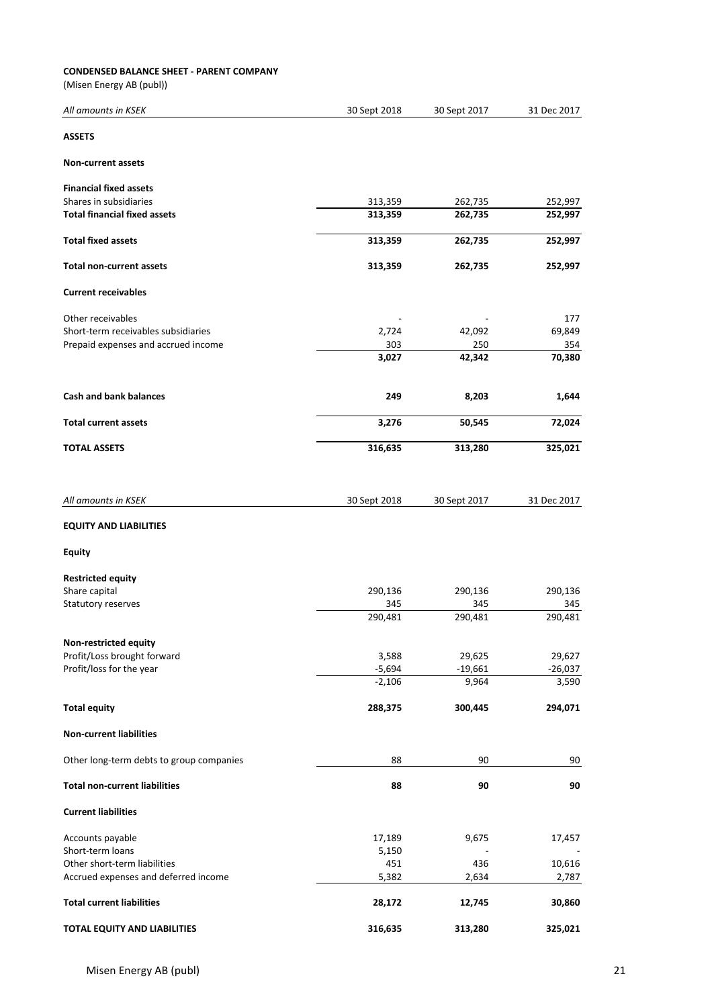## **CONDENSED BALANCE SHEET - PARENT COMPANY**

(Misen Energy AB (publ))

| All amounts in KSEK                      | 30 Sept 2018    | 30 Sept 2017 | 31 Dec 2017 |
|------------------------------------------|-----------------|--------------|-------------|
| <b>ASSETS</b>                            |                 |              |             |
| <b>Non-current assets</b>                |                 |              |             |
| <b>Financial fixed assets</b>            |                 |              |             |
| Shares in subsidiaries                   | 313,359         | 262,735      | 252,997     |
| <b>Total financial fixed assets</b>      | 313,359         | 262,735      | 252,997     |
| <b>Total fixed assets</b>                | 313,359         | 262,735      | 252,997     |
| <b>Total non-current assets</b>          | 313,359         | 262,735      | 252,997     |
| <b>Current receivables</b>               |                 |              |             |
| Other receivables                        |                 |              | 177         |
| Short-term receivables subsidiaries      | 2,724           | 42,092       | 69,849      |
| Prepaid expenses and accrued income      | 303             | 250          | 354         |
|                                          | 3,027           | 42,342       | 70,380      |
| <b>Cash and bank balances</b>            | 249             | 8,203        | 1,644       |
| <b>Total current assets</b>              | 3,276           | 50,545       | 72,024      |
| <b>TOTAL ASSETS</b>                      | 316,635         | 313,280      | 325,021     |
| All amounts in KSEK                      | 30 Sept 2018    | 30 Sept 2017 | 31 Dec 2017 |
| <b>EQUITY AND LIABILITIES</b>            |                 |              |             |
| Equity                                   |                 |              |             |
| <b>Restricted equity</b>                 |                 |              |             |
| Share capital                            | 290,136         | 290,136      | 290,136     |
| Statutory reserves                       | 345             | 345          | 345         |
|                                          | 290,481         | 290,481      | 290,481     |
| Non-restricted equity                    |                 |              |             |
| Profit/Loss brought forward              | 3,588           | 29,625       | 29,627      |
| Profit/loss for the year                 | $-5,694$        | $-19,661$    | $-26,037$   |
|                                          | $-2,106$        | 9,964        | 3,590       |
| <b>Total equity</b>                      | 288,375         | 300,445      | 294,071     |
| <b>Non-current liabilities</b>           |                 |              |             |
| Other long-term debts to group companies | 88              | 90           | 90          |
| <b>Total non-current liabilities</b>     | 88              | 90           | 90          |
| <b>Current liabilities</b>               |                 |              |             |
| Accounts payable<br>Short-term loans     | 17,189<br>5,150 | 9,675        | 17,457      |
| Other short-term liabilities             | 451             | 436          | 10,616      |
| Accrued expenses and deferred income     | 5,382           | 2,634        | 2,787       |
| <b>Total current liabilities</b>         | 28,172          | 12,745       | 30,860      |
| <b>TOTAL EQUITY AND LIABILITIES</b>      | 316,635         | 313,280      | 325,021     |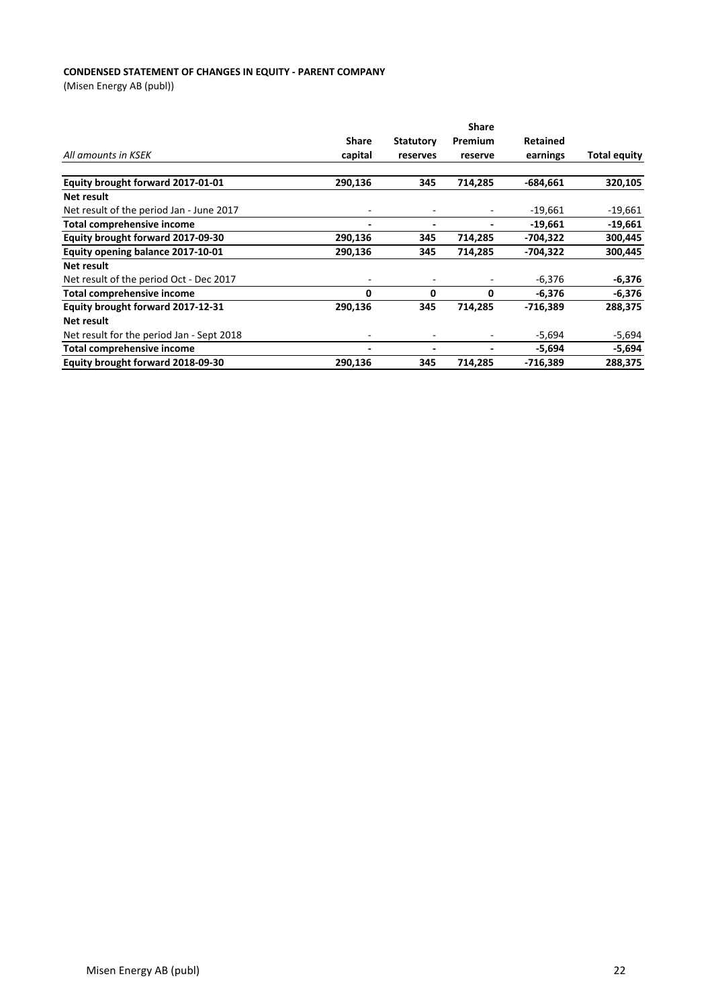## **CONDENSED STATEMENT OF CHANGES IN EQUITY - PARENT COMPANY**

(Misen Energy AB (publ))

|                                           | <b>Share</b>             |                          |         |                 |              |  |
|-------------------------------------------|--------------------------|--------------------------|---------|-----------------|--------------|--|
|                                           | <b>Share</b>             | <b>Statutory</b>         | Premium | <b>Retained</b> |              |  |
| All amounts in KSEK                       | capital                  | reserves                 | reserve | earnings        | Total equity |  |
|                                           |                          |                          |         |                 |              |  |
| Equity brought forward 2017-01-01         | 290,136                  | 345                      | 714,285 | $-684.661$      | 320,105      |  |
| Net result                                |                          |                          |         |                 |              |  |
| Net result of the period Jan - June 2017  | ٠                        |                          |         | $-19,661$       | $-19,661$    |  |
| <b>Total comprehensive income</b>         | $\blacksquare$           | $\overline{\phantom{0}}$ |         | $-19,661$       | $-19,661$    |  |
| Equity brought forward 2017-09-30         | 290,136                  | 345                      | 714,285 | -704,322        | 300,445      |  |
| Equity opening balance 2017-10-01         | 290,136                  | 345                      | 714,285 | -704,322        | 300,445      |  |
| Net result                                |                          |                          |         |                 |              |  |
| Net result of the period Oct - Dec 2017   | ٠                        |                          |         | $-6,376$        | $-6,376$     |  |
| <b>Total comprehensive income</b>         | 0                        | 0                        | 0       | $-6,376$        | $-6,376$     |  |
| Equity brought forward 2017-12-31         | 290,136                  | 345                      | 714,285 | -716,389        | 288,375      |  |
| Net result                                |                          |                          |         |                 |              |  |
| Net result for the period Jan - Sept 2018 | $\overline{\phantom{a}}$ |                          |         | $-5,694$        | $-5,694$     |  |
| Total comprehensive income                | -                        |                          |         | $-5,694$        | $-5,694$     |  |
| Equity brought forward 2018-09-30         | 290,136                  | 345                      | 714,285 | $-716,389$      | 288,375      |  |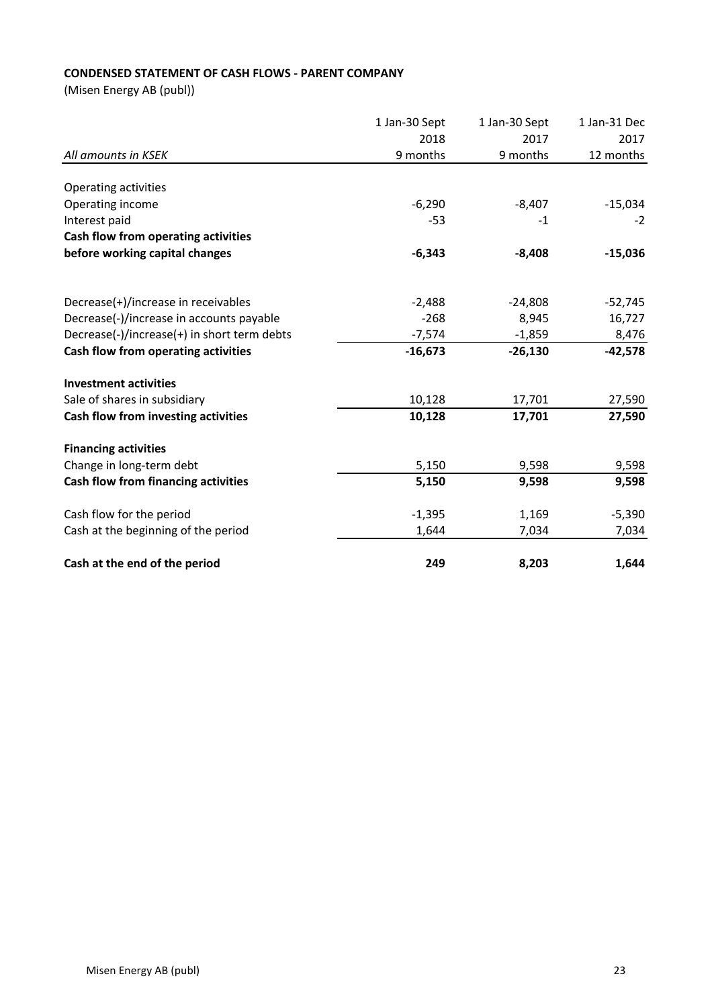# **CONDENSED STATEMENT OF CASH FLOWS - PARENT COMPANY**

(Misen Energy AB (publ))

| All amounts in KSEK                         | 1 Jan-30 Sept | 1 Jan-30 Sept<br>2017<br>9 months | 1 Jan-31 Dec<br>2017<br>12 months |
|---------------------------------------------|---------------|-----------------------------------|-----------------------------------|
|                                             | 2018          |                                   |                                   |
|                                             | 9 months      |                                   |                                   |
|                                             |               |                                   |                                   |
| Operating activities                        |               |                                   |                                   |
| Operating income                            | $-6,290$      | $-8,407$                          | $-15,034$                         |
| Interest paid                               | $-53$         | $-1$                              | $-2$                              |
| Cash flow from operating activities         |               |                                   |                                   |
| before working capital changes              | $-6,343$      | $-8,408$                          | $-15,036$                         |
| Decrease(+)/increase in receivables         | $-2,488$      | $-24,808$                         | $-52,745$                         |
| Decrease(-)/increase in accounts payable    | $-268$        | 8,945                             | 16,727                            |
| Decrease(-)/increase(+) in short term debts | $-7,574$      | $-1,859$                          | 8,476                             |
| Cash flow from operating activities         | $-16,673$     | $-26,130$                         | $-42,578$                         |
| <b>Investment activities</b>                |               |                                   |                                   |
| Sale of shares in subsidiary                | 10,128        | 17,701                            | 27,590                            |
| Cash flow from investing activities         | 10,128        | 17,701                            | 27,590                            |
| <b>Financing activities</b>                 |               |                                   |                                   |
| Change in long-term debt                    | 5,150         | 9,598                             | 9,598                             |
| Cash flow from financing activities         | 5,150         | 9,598                             | 9,598                             |
| Cash flow for the period                    | $-1,395$      | 1,169                             | $-5,390$                          |
| Cash at the beginning of the period         | 1,644         | 7,034                             | 7,034                             |
| Cash at the end of the period               | 249           | 8,203                             | 1,644                             |